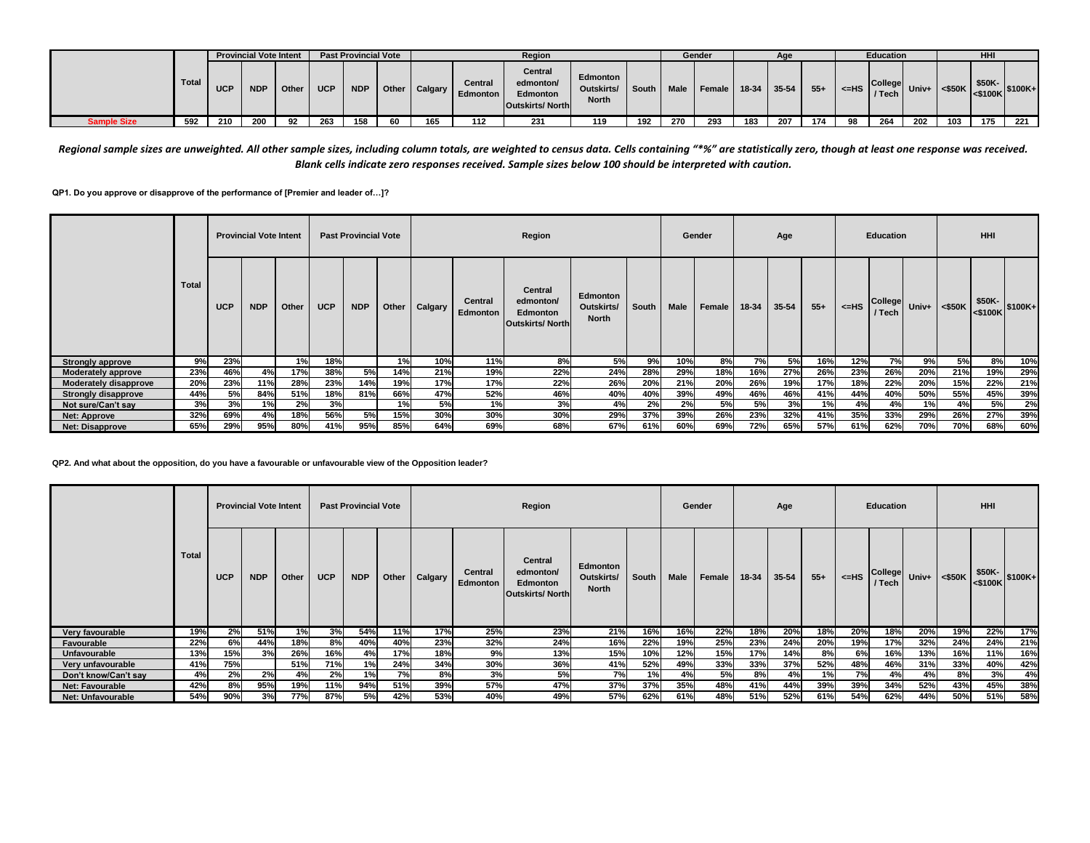|                    |       |            | <b>Provincial Vote Intent</b> |       |            | <b>Past Provincial Vote</b> |       |         |                     | Region                                                     |                                        |       |             | Gender         |     | Age       |       | <b>Education</b>                                                                                                           |     |     | <b>HHI</b> |                              |
|--------------------|-------|------------|-------------------------------|-------|------------|-----------------------------|-------|---------|---------------------|------------------------------------------------------------|----------------------------------------|-------|-------------|----------------|-----|-----------|-------|----------------------------------------------------------------------------------------------------------------------------|-----|-----|------------|------------------------------|
|                    | Total | <b>UCP</b> | <b>NDP</b>                    | Other | <b>UCP</b> | <b>NDF</b>                  | Other | Calgary | Central<br>Edmonton | Central<br>edmonton/<br>Edmonton<br><b>Outskirts/North</b> | Edmonton<br>Outskirts/<br><b>North</b> | South | <b>Male</b> | Female $18-34$ |     | $35 - 54$ | $55+$ | $\le$ =HS $\left \frac{\text{College}}{\text{Cone}}\right $ Univ+ $\left \frac{\text{Cose}}{\text{Cone}}\right $<br>/ Tech |     |     | \$50K-     | $\frac{30K}{15100K}$ \$100K+ |
| <b>Sample Size</b> | 592   | 210        | 200                           | 92    | 263        | 158                         | 60    |         | 112                 | 231                                                        | 119                                    | 192   | 270         | 293            | 183 | 207       | 174   | 264                                                                                                                        | 202 | 103 | 175        | 221                          |

Regional sample sizes are unweighted. All other sample sizes, including column totals, are weighted to census data. Cells containing "\*%" are statistically zero, though at least one response was received. *Blank cells indicate zero responses received. Sample sizes below 100 should be interpreted with caution.*

### **QP1. Do you approve or disapprove of the performance of [Premier and leader of…]?**

|                            |              |            | <b>Provincial Vote Intent</b> |       |            | <b>Past Provincial Vote</b> |       |                |                     | Region                                                            |                                        |       |      | Gender |       | Age       |       |        | <b>Education</b>                                                                 |     |     | HHI                          |     |
|----------------------------|--------------|------------|-------------------------------|-------|------------|-----------------------------|-------|----------------|---------------------|-------------------------------------------------------------------|----------------------------------------|-------|------|--------|-------|-----------|-------|--------|----------------------------------------------------------------------------------|-----|-----|------------------------------|-----|
|                            | <b>Total</b> | <b>UCP</b> | <b>NDP</b>                    | Other | <b>UCP</b> | <b>NDP</b>                  | Other | <b>Calgary</b> | Central<br>Edmonton | Central<br>edmonton/<br><b>Edmonton</b><br><b>Outskirts/North</b> | Edmonton<br>Outskirts/<br><b>North</b> | South | Male | Female | 18-34 | $35 - 54$ | $55+$ | $=$ HS | $\left \frac{1}{2}\right $ College Univ+ $\left \frac{1}{250K}\right $<br>/ Tech |     |     | $\frac{$50K}{5100K}$ \$100K+ |     |
| <b>Strongly approve</b>    | 9%           | 23%        |                               | 1%    | 18%        |                             | 1%    | 10%            | 11%                 | 8%                                                                | 5%                                     | 9%    | 10%  | 8%     | 7%    | 5%        | 16%   | 12%    | 7%                                                                               | 9%  | 5%  | 8%                           | 10% |
| <b>Moderately approve</b>  | 23%          | 46%        | 4%                            | 17%   | 38%        | 5%                          | 14%   | 21%            | 19%                 | 22%                                                               | 24%                                    | 28%   | 29%  | 18%    | 16%   | 27%       | 26%   | 23%    | 26%                                                                              | 20% | 21% | 19%                          | 29% |
| Moderately disapprove      | 20%          | 23%        | 11%                           | 28%   | 23%        | 14%                         | 19%   | 17%            | 17%                 | 22%                                                               | 26%                                    | 20%   | 21%  | 20%    | 26%   | 19%       | 17%   | 18%    | 22%                                                                              | 20% | 15% | 22%                          | 21% |
| <b>Strongly disapprove</b> | 44%          | 5%         | 84%                           | 51%   | 18%        | 81%                         | 66%   | 47%            | 52%                 | 46%                                                               | 40%                                    | 40%   | 39%  | 49%    | 46%   | 46%       | 41%   | 44%    | 40%                                                                              | 50% | 55% | 45%                          | 39% |
| Not sure/Can't say         | 3%           | 3%         | 1%                            | 2%    | 3%         |                             | 1%    | 5%             | 1%                  | 3%                                                                | 4%                                     | 2%    | 2%   | 5%     | 5%    | 3%        | 1%    | 4%     | 4%                                                                               | 1%  | 4%  | 5%                           | 2%  |
| <b>Net: Approve</b>        | 32%          | 69%        | 4%                            | 18%   | 56%        | 5%                          | 15%   | 30%            | 30%                 | 30%                                                               | 29%                                    | 37%   | 39%  | 26%    | 23%   | 32%       | 41%   | 35%    | 33%                                                                              | 29% | 26% | 27%                          | 39% |
| Net: Disapprove            | 65%          | 29%        | 95%                           | 80%   | 41%        | 95%                         | 85%   | 64%            | 69%                 | 68%                                                               | 67%                                    | 61%   | 60%  | 69%    | 72%   | 65%       | 57%   | 61%    | 62%                                                                              | 70% | 70% | 68%                          | 60% |

#### **QP2. And what about the opposition, do you have a favourable or unfavourable view of the Opposition leader?**

|                          |       |            | <b>Provincial Vote Intent</b> |       |            | <b>Past Provincial Vote</b> |       |         |                     | Region                                                            |                                        |       |             | Gender |       | Age       |       |        | <b>Education</b>                            |     |     | <b>HHI</b>                   |     |
|--------------------------|-------|------------|-------------------------------|-------|------------|-----------------------------|-------|---------|---------------------|-------------------------------------------------------------------|----------------------------------------|-------|-------------|--------|-------|-----------|-------|--------|---------------------------------------------|-----|-----|------------------------------|-----|
|                          | Total | <b>UCP</b> | <b>NDP</b>                    | Other | <b>UCP</b> | <b>NDP</b>                  | Other | Calgary | Central<br>Edmonton | Central<br>edmonton/<br><b>Edmonton</b><br><b>Outskirts/North</b> | Edmonton<br>Outskirts/<br><b>North</b> | South | <b>Male</b> | Female | 18-34 | $35 - 54$ | $55+$ | $=$ HS | $\leq$ College Univ+ $\leq$ \$50K<br>/ Tech |     |     | $\frac{$50K}{5100K}$ \$100K+ |     |
| Very favourable          | 19%   | 2%         | 51%                           | 1%    | 3%         | 54%                         | 11%   | 17%     | 25%                 | 23%                                                               | 21%                                    | 16%   | 16%         | 22%    | 18%   | 20%       | 18%   | 20%    | 18%                                         | 20% | 19% | 22%                          | 17% |
| Favourable               | 22%   | 6%         | 44%                           | 18%   | 8%         | 40%                         | 40%   | 23%     | 32%                 | 24%                                                               | 16%                                    | 22%   | 19%         | 25%    | 23%   | 24%       | 20%   | 19%    | 17%                                         | 32% | 24% | 24%                          | 21% |
| Unfavourable             | 13%   | 15%        | 3%                            | 26%   | 16%        | 4%                          | 17%   | 18%     | 9%                  | 13%                                                               | 15%                                    | 10%   | 12%         | 15%    | 17%   | 14%       | 8%    | 6%     | 16%                                         | 13% | 16% | 11%                          | 16% |
| Very unfavourable        | 41%   | 75%        |                               | 51%   | 71%        | 1%                          | 24%   | 34%     | 30%                 | 36%                                                               | 41%                                    | 52%   | 49%         | 33%    | 33%   | 37%       | 52%   | 48%    | 46%                                         | 31% | 33% | 40%                          | 42% |
| Don't know/Can't say     | 4%    | 2%         | 2%                            | 4%    | 2%         | 1%                          | 7%    | 8%      | 3%                  | 5%                                                                | 7%                                     | 1%    | 4%          | 5%     | 8%    | 4%        | 1%    | 7%     | 4%                                          | 4%  | 8%  | 3%                           | 4%  |
| <b>Net: Favourable</b>   | 42%   | 8%         | 95%                           | 19%   | 11%        | 94%                         | 51%   | 39%     | 57%                 | 47%                                                               | 37%                                    | 37%   | 35%         | 48%    | 41%   | 44%       | 39%   | 39%    | 34%                                         | 52% | 43% | 45%                          | 38% |
| <b>Net: Unfavourable</b> | 54%   | 90%        | 3%                            | 77%   | 87%        | 5%                          | 42%   | 53%     | 40%                 | 49%                                                               | 57%                                    | 62%   | 61%         | 48%    | 51%   | 52%       | 61%   | 54%    | 62%                                         | 44% | 50% | 51%                          | 58% |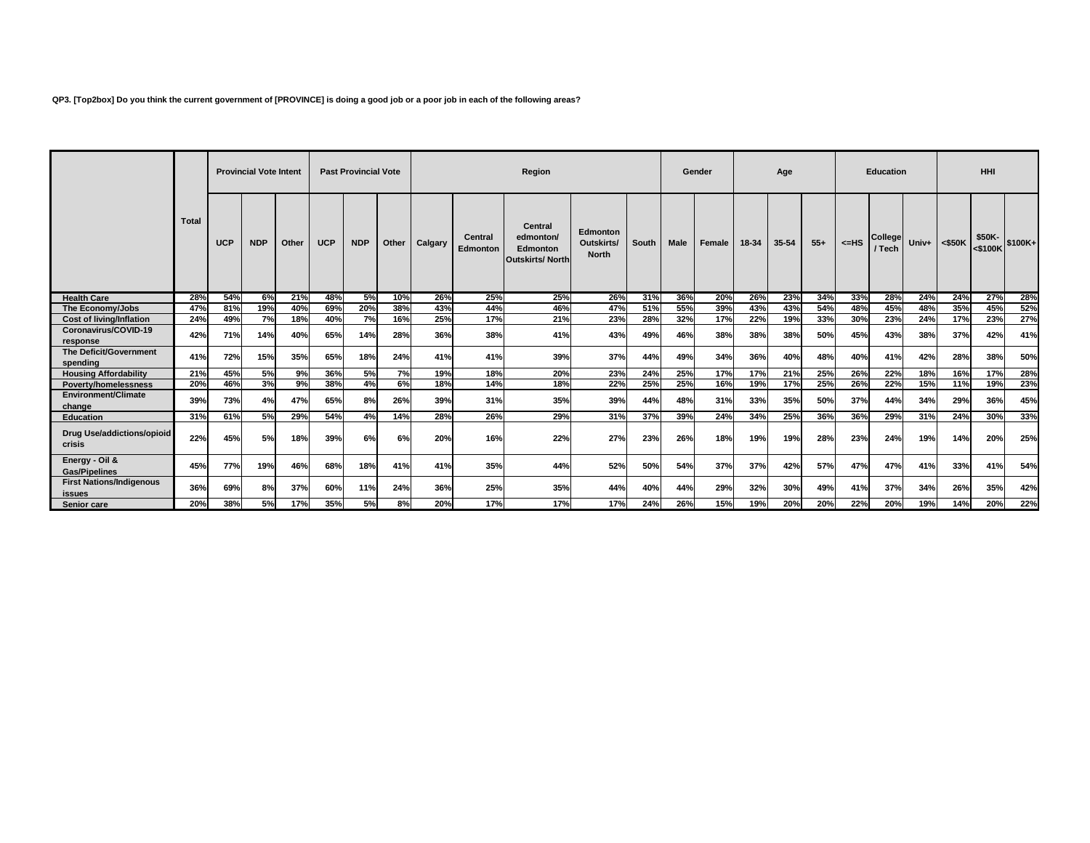**QP3. [Top2box] Do you think the current government of [PROVINCE] is doing a good job or a poor job in each of the following areas?**

|                                                  |              |            | <b>Provincial Vote Intent</b> |       |            | <b>Past Provincial Vote</b> |       |         |                     | Region                                                     |                                        |       |             | Gender |       | Age       |       |               | <b>Education</b>         |       |           | <b>HHI</b>           |          |
|--------------------------------------------------|--------------|------------|-------------------------------|-------|------------|-----------------------------|-------|---------|---------------------|------------------------------------------------------------|----------------------------------------|-------|-------------|--------|-------|-----------|-------|---------------|--------------------------|-------|-----------|----------------------|----------|
|                                                  | <b>Total</b> | <b>UCP</b> | <b>NDP</b>                    | Other | <b>UCP</b> | <b>NDP</b>                  | Other | Calgary | Central<br>Edmonton | Central<br>edmonton/<br>Edmonton<br><b>Outskirts/North</b> | Edmonton<br>Outskirts/<br><b>North</b> | South | <b>Male</b> | Female | 18-34 | $35 - 54$ | $55+$ | ightharpoonup | <b>College</b><br>/ Tech | Univ+ | $<$ \$50K | \$50K-<br>$<$ \$100K | $$100K+$ |
| <b>Health Care</b>                               | 28%          | 54%        | 6%                            | 21%   | 48%        | 5%                          | 10%   | 26%     | 25%                 | 25%                                                        | 26%                                    | 31%   | 36%         | 20%    | 26%   | 23%       | 34%   | 33%           | 28%                      | 24%   | 24%       | 27%                  | 28%      |
| The Economy/Jobs                                 | 47%          | 81%        | 19%                           | 40%   | 69%        | 20%                         | 38%   | 43%     | 44%                 | 46%                                                        | 47%                                    | 51%   | 55%         | 39%    | 43%   | 43%       | 54%   | 48%           | 45%                      | 48%   | 35%       | 45%                  | 52%      |
| <b>Cost of living/Inflation</b>                  | 24%          | 49%        | 7%                            | 18%   | 40%        | 7%                          | 16%   | 25%     | 17%                 | 21%                                                        | 23%                                    | 28%   | 32%         | 17%    | 22%   | 19%       | 33%   | 30%           | 23%                      | 24%   | 17%       | 23%                  | 27%      |
| Coronavirus/COVID-19<br>response                 | 42%          | 71%        | 14%                           | 40%   | 65%        | 14%                         | 28%   | 36%     | 38%                 | 41%                                                        | 43%                                    | 49%   | 46%         | 38%    | 38%   | 38%       | 50%   | 45%           | 43%                      | 38%   | 37%       | 42%                  | 41%      |
| The Deficit/Government<br>spending               | 41%          | 72%        | 15%                           | 35%   | 65%        | 18%                         | 24%   | 41%     | 41%                 | 39%                                                        | 37%                                    | 44%   | 49%         | 34%    | 36%   | 40%       | 48%   | 40%           | 41%                      | 42%   | 28%       | 38%                  | 50%      |
| <b>Housing Affordability</b>                     | 21%          | 45%        | 5%                            | 9%    | 36%        | 5%                          | 7%    | 19%     | 18%                 | 20%                                                        | 23%                                    | 24%   | 25%         | 17%    | 17%   | 21%       | 25%   | 26%           | 22%                      | 18%   | 16%       | 17%                  | 28%      |
| Poverty/homelessness                             | 20%          | 46%        | 3%                            | 9%    | 38%        | 4%                          | 6%    | 18%     | 14%                 | 18%                                                        | 22%                                    | 25%   | 25%         | 16%    | 19%   | 17%       | 25%   | 26%           | 22%                      | 15%   | 11%       | 19%                  | 23%      |
| <b>Environment/Climate</b><br>change             | 39%          | 73%        | 4%                            | 47%   | 65%        | 8%                          | 26%   | 39%     | 31%                 | 35%                                                        | 39%                                    | 44%   | 48%         | 31%    | 33%   | 35%       | 50%   | 37%           | 44%                      | 34%   | 29%       | 36%                  | 45%      |
| <b>Education</b>                                 | 31%          | 61%        | 5%                            | 29%   | 54%        | 4%                          | 14%   | 28%     | 26%                 | 29%                                                        | 31%                                    | 37%   | 39%         | 24%    | 34%   | 25%       | 36%   | 36%           | 29%                      | 31%   | 24%       | 30%                  | 33%      |
| Drug Use/addictions/opioid<br>crisis             | 22%          | 45%        | 5%                            | 18%   | 39%        | 6%                          | 6%    | 20%     | 16%                 | 22%                                                        | 27%                                    | 23%   | 26%         | 18%    | 19%   | 19%       | 28%   | 23%           | 24%                      | 19%   | 14%       | 20%                  | 25%      |
| Energy - Oil &<br><b>Gas/Pipelines</b>           | 45%          | 77%        | 19%                           | 46%   | 68%        | 18%                         | 41%   | 41%     | 35%                 | 44%                                                        | 52%                                    | 50%   | 54%         | 37%    | 37%   | 42%       | 57%   | 47%           | 47%                      | 41%   | 33%       | 41%                  | 54%      |
| <b>First Nations/Indigenous</b><br><b>issues</b> | 36%          | 69%        | 8%                            | 37%   | 60%        | 11%                         | 24%   | 36%     | 25%                 | 35%                                                        | 44%                                    | 40%   | 44%         | 29%    | 32%   | 30%       | 49%   | 41%           | 37%                      | 34%   | 26%       | 35%                  | 42%      |
| Senior care                                      | 20%          | 38%        | 5%                            | 17%   | 35%        | 5%                          | 8%    | 20%     | 17%                 | 17%                                                        | 17%                                    | 24%   | 26%         | 15%    | 19%   | 20%       | 20%   | 22%           | 20%                      | 19%   | 14%       | 20%                  | 22%      |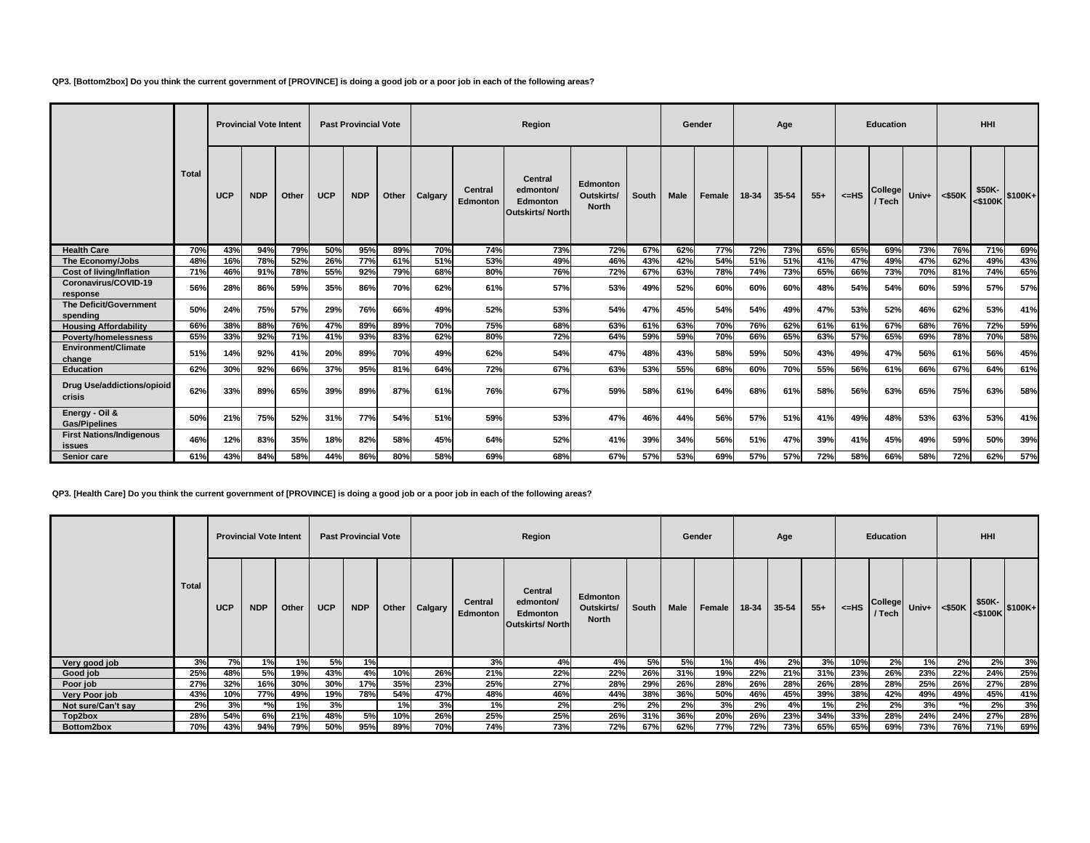# **QP3. [Bottom2box] Do you think the current government of [PROVINCE] is doing a good job or a poor job in each of the following areas?**

|                                                  |              |            | <b>Provincial Vote Intent</b> |       |            | <b>Past Provincial Vote</b> |       |         |                     | Region                                                     |                                        |       |             | Gender |       | Age       |       |        | <b>Education</b>  |       |           | <b>HHI</b>           |         |
|--------------------------------------------------|--------------|------------|-------------------------------|-------|------------|-----------------------------|-------|---------|---------------------|------------------------------------------------------------|----------------------------------------|-------|-------------|--------|-------|-----------|-------|--------|-------------------|-------|-----------|----------------------|---------|
|                                                  | <b>Total</b> | <b>UCP</b> | <b>NDP</b>                    | Other | <b>UCP</b> | <b>NDP</b>                  | Other | Calgary | Central<br>Edmonton | Central<br>edmonton/<br>Edmonton<br><b>Outskirts/North</b> | Edmonton<br>Outskirts/<br><b>North</b> | South | <b>Male</b> | Female | 18-34 | $35 - 54$ | $55+$ | $=$ HS | College<br>/ Tech | Univ+ | $<$ \$50K | \$50K-<br>$<$ \$100K | \$100K+ |
| <b>Health Care</b>                               | 70%          | 43%        | 94%                           | 79%   | 50%        | 95%                         | 89%   | 70%     | 74%                 | 73%                                                        | 72%                                    | 67%   | 62%         | 77%    | 72%   | 73%       | 65%   | 65%    | 69%               | 73%   | 76%       | 71%                  | 69%     |
| The Economy/Jobs                                 | 48%          | 16%        | 78%                           | 52%   | 26%        | 77%                         | 61%   | 51%     | 53%                 | 49%                                                        | 46%                                    | 43%   | 42%         | 54%    | 51%   | 51%       | 41%   | 47%    | 49%               | 47%   | 62%       | 49%                  | 43%     |
| <b>Cost of livina/Inflation</b>                  | 71%          | 46%        | 91%                           | 78%   | 55%        | 92%                         | 79%   | 68%     | 80%                 | 76%                                                        | 72%                                    | 67%   | 63%         | 78%    | 74%   | 73%       | 65%   | 66%    | 73%               | 70%   | 81%       | 74%                  | 65%     |
| Coronavirus/COVID-19<br>response                 | 56%          | 28%        | 86%                           | 59%   | 35%        | 86%                         | 70%   | 62%     | 61%                 | 57%                                                        | 53%                                    | 49%   | 52%         | 60%    | 60%   | 60%       | 48%   | 54%    | 54%               | 60%   | 59%       | 57%                  | 57%     |
| The Deficit/Government<br>spending               | 50%          | 24%        | 75%                           | 57%   | 29%        | 76%                         | 66%   | 49%     | 52%                 | 53%                                                        | 54%                                    | 47%   | 45%         | 54%    | 54%   | 49%       | 47%   | 53%    | 52%               | 46%   | 62%       | 53%                  | 41%     |
| <b>Housing Affordability</b>                     | 66%          | 38%        | 88%                           | 76%   | 47%        | 89%                         | 89%   | 70%     | 75%                 | 68%                                                        | 63%                                    | 61%   | 63%         | 70%    | 76%   | 62%       | 61%   | 61%    | 67%               | 68%   | 76%       | 72%                  | 59%     |
| Poverty/homelessness                             | 65%          | 33%        | 92%                           | 71%   | 41%        | 93%                         | 83%   | 62%     | 80%                 | 72%                                                        | 64%                                    | 59%   | 59%         | 70%    | 66%   | 65%       | 63%   | 57%    | 65%               | 69%   | 78%       | 70%                  | 58%     |
| Environment/Climate<br>change                    | 51%          | 14%        | 92%                           | 41%   | 20%        | 89%                         | 70%   | 49%     | 62%                 | 54%                                                        | 47%                                    | 48%   | 43%         | 58%    | 59%   | 50%       | 43%   | 49%    | 47%               | 56%   | 61%       | 56%                  | 45%     |
| <b>Education</b>                                 | 62%          | 30%        | 92%                           | 66%   | 37%        | 95%                         | 81%   | 64%     | 72%                 | 67%                                                        | 63%                                    | 53%   | 55%         | 68%    | 60%   | 70%       | 55%   | 56%    | 61%               | 66%   | 67%       | 64%                  | 61%     |
| Drug Use/addictions/opioid<br>crisis             | 62%          | 33%        | 89%                           | 65%   | 39%        | 89%                         | 87%   | 61%     | 76%                 | 67%                                                        | 59%                                    | 58%   | 61%         | 64%    | 68%   | 61%       | 58%   | 56%    | 63%               | 65%   | 75%       | 63%                  | 58%     |
| Energy - Oil &<br><b>Gas/Pipelines</b>           | 50%          | 21%        | 75%                           | 52%   | 31%        | 77%                         | 54%   | 51%     | 59%                 | 53%                                                        | 47%                                    | 46%   | 44%         | 56%    | 57%   | 51%       | 41%   | 49%    | 48%               | 53%   | 63%       | 53%                  | 41%     |
| <b>First Nations/Indigenous</b><br><b>issues</b> | 46%          | 12%        | 83%                           | 35%   | 18%        | 82%                         | 58%   | 45%     | 64%                 | 52%                                                        | 41%                                    | 39%   | 34%         | 56%    | 51%   | 47%       | 39%   | 41%    | 45%               | 49%   | 59%       | 50%                  | 39%     |
| Senior care                                      | 61%          | 43%        | 84%                           | 58%   | 44%        | 86%                         | 80%   | 58%     | 69%                 | 68%                                                        | 67%                                    | 57%   | 53%         | 69%    | 57%   | 57%       | 72%   | 58%    | 66%               | 58%   | 72%       | 62%                  | 57%     |

# **QP3. [Health Care] Do you think the current government of [PROVINCE] is doing a good job or a poor job in each of the following areas?**

|                    |              |            | <b>Provincial Vote Intent</b> |       |            | <b>Past Provincial Vote</b> |       |                |                     | Region                                                     |                                        |       |      | Gender |       | Age       |       |        | <b>Education</b>                                                                   |     |                                 | <b>HHI</b>                   |     |
|--------------------|--------------|------------|-------------------------------|-------|------------|-----------------------------|-------|----------------|---------------------|------------------------------------------------------------|----------------------------------------|-------|------|--------|-------|-----------|-------|--------|------------------------------------------------------------------------------------|-----|---------------------------------|------------------------------|-----|
|                    | <b>Total</b> | <b>UCP</b> | <b>NDP</b>                    | Other | <b>UCP</b> | <b>NDP</b>                  | Other | <b>Calgary</b> | Central<br>Edmonton | Central<br>edmonton/<br>Edmonton<br><b>Outskirts/North</b> | Edmonton<br>Outskirts/<br><b>North</b> | South | Male | Female | 18-34 | $35 - 54$ | $55+$ | $=$ HS | $\left \frac{1}{2}\right $ College Univ+ $\left \frac{1}{250K}\right $<br>$/$ Tech |     |                                 | $\frac{$50K}{3100K}$ \$100K+ |     |
| Very good job      | 3%           | 7%         | 1%                            | 1%    | 5%         | 1%                          |       |                | 3%                  | 4%                                                         | 4%                                     | 5%    | 5%   | 1%     | 4%    | 2%        | 3%    | 10%    | 2%                                                                                 | 1%  | 2%                              | 2%                           | 3%  |
| Good job           | 25%          | 48%        | 5%                            | 19%   | 43%        | 4%                          | 10%   | 26%            | 21%                 | 22%                                                        | 22%                                    | 26%   | 31%  | 19%    | 22%   | 21%       | 31%   | 23%    | 26%                                                                                | 23% | 22%                             | 24%                          | 25% |
| Poor job           | 27%          | 32%        | 16%                           | 30%   | 30%        | 17%                         | 35%   | 23%            | 25%                 | 27%                                                        | 28%                                    | 29%   | 26%  | 28%    | 26%   | 28%       | 26%   | 28%    | 28%                                                                                | 25% | 26%                             | 27%                          | 28% |
| Very Poor job      | 43%          | 10%        | 77%                           | 49%   | 19%        | 78%                         | 54%   | 47%            | 48%                 | 46%                                                        | 44%                                    | 38%   | 36%  | 50%    | 46%   | 45%       | 39%   | 38%    | 42%                                                                                | 49% | 49%                             | 45%                          | 41% |
| Not sure/Can't say | 2%           | 3%         | $*96$                         | 1%    | 3%         |                             | 1%    | 3%             | 1%                  | 2%                                                         | 2%                                     | 2%    | 2%   | 3%     | 2%    | 4%        | 1%    | 2%     | 2%                                                                                 | 3%  | $*$ <sup>o</sup> / <sub>0</sub> | 2%                           | 3%  |
| Top2box            | 28%          | 54%        | 6%                            | 21%   | 48%        | 5%                          | 10%   | 26%            | 25%                 | 25%                                                        | 26%                                    | 31%   | 36%  | 20%    | 26%   | 23%       | 34%   | 33%    | 28%                                                                                | 24% | 24%                             | 27%                          | 28% |
| Bottom2box         | 70%          | 43%        | 94%                           | 79%   | 50%        | 95%                         | 89%   | 70%            | 74%                 | 73%                                                        | 72%                                    | 67%   | 62%  | 77%    | 72%   | 73%       | 65%   | 65%    | 69%                                                                                | 73% | 76%                             | 71%                          | 69% |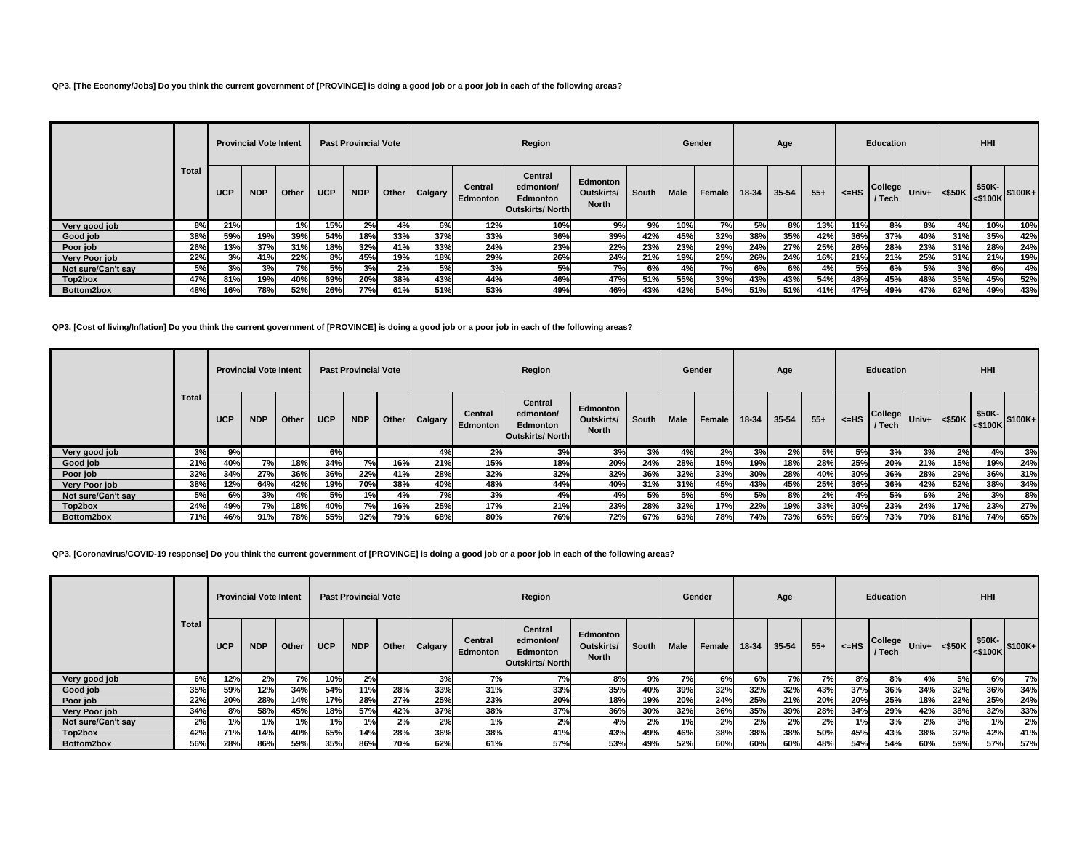#### **QP3. [The Economy/Jobs] Do you think the current government of [PROVINCE] is doing a good job or a poor job in each of the following areas?**

|                    |       |            | <b>Provincial Vote Intent</b> |           |            | <b>Past Provincial Vote</b> |       |         |                     | Region                                                            |                                 |       |             | Gender    |       | Age       |       |      | <b>Education</b>         |                                |           | HHI                                 |     |
|--------------------|-------|------------|-------------------------------|-----------|------------|-----------------------------|-------|---------|---------------------|-------------------------------------------------------------------|---------------------------------|-------|-------------|-----------|-------|-----------|-------|------|--------------------------|--------------------------------|-----------|-------------------------------------|-----|
|                    | Total | <b>UCP</b> | <b>NDP</b>                    | Other     | <b>UCP</b> | <b>NDP</b>                  | Other | Calgary | Central<br>Edmonton | Central<br>edmonton/<br><b>Edmonton</b><br><b>Outskirts/North</b> | Edmonton<br>Outskirts/<br>North | South | <b>Male</b> | Female    | 18-34 | $35 - 54$ | $55+$ | <=HS | <b>College</b><br>/ Tech | Univ+ $\overline{\phantom{a}}$ | $<$ \$50K | \$50K-<br>$\frac{1}{5100K}$ \$100K+ |     |
| Very good job      | 8%    | 21%        |                               | 1%        | 15%        | 2%                          | 4%    | 6%      | 12%                 | 10%                                                               | 9%                              | 9%    | 10%         | <b>7%</b> | 5%    | 8%        | 13%   | 11%  | 8%                       | 8%                             | 4%        | 10%                                 | 10% |
| Good job           | 38%   | 59%        | 19%                           | 39%       | 54%        | 18%                         | 33%   | 37%     | 33%                 | 36%                                                               | 39%                             | 42%   | 45%         | 32%       | 38%   | 35%       | 42%   | 36%  | 37%                      | 40%                            | 31%       | 35%                                 | 42% |
| Poor job           | 26%   | 13%        | 37%                           | 31%       | 18%        | 32%                         | 41%   | 33%     | 24%                 | 23%                                                               | 22%                             | 23%   | 23%         | 29%       | 24%   | 27%       | 25%   | 26%  | 28%                      | 23%                            | 31%       | 28%                                 | 24% |
| Very Poor job      | 22%   | 3%         | 41%                           | 22%       | 8%         | 45%                         | 19%   | 18%     | 29%                 | 26%                                                               | 24%                             | 21%   | 19%         | 25%       | 26%   | 24%       | 16%   | 21%  | 21%                      | 25%                            | 31%       | 21%                                 | 19% |
| Not sure/Can't say | 5%    | 3%         | 3%                            | <b>7%</b> | 5%         | 3%                          | 2%    | 5%      | 3%                  | 5%                                                                | 7%                              | 6%    | 4%          | 7%I       | 6%    | 6%        | 4%    | 5%   | 6%                       | 5%                             | 3%        | 6%                                  | 4%  |
| Top2box            | 47%   | 81%        | 19%                           | 40%       | 69%        | 20%                         | 38%   | 43%     | 44%                 | 46%                                                               | 47%                             | 51%   | 55%         | 39%       | 43%   | 43%       | 54%   | 48%  | 45%                      | 48%                            | 35%       | 45%                                 | 52% |
| Bottom2box         | 48%   | 16%        | 78%                           | 52%       | 26%        | 77%                         | 61%   | 51%     | 53%                 | 49%                                                               | 46%                             | 43%   | 42%         | 54%       | 51%   | 51%       | 41%   | 47%  | 49%                      | 47%                            | 62%       | 49%                                 | 43% |

### **QP3. [Cost of living/Inflation] Do you think the current government of [PROVINCE] is doing a good job or a poor job in each of the following areas?**

|                    |              |            | <b>Provincial Vote Intent</b> |       |            | <b>Past Provincial Vote</b> |       |         |                     | Region                                                     |                                        |       |             | Gender |       | Age       |       |        | <b>Education</b>         |       |           | <b>HHI</b>                    |     |
|--------------------|--------------|------------|-------------------------------|-------|------------|-----------------------------|-------|---------|---------------------|------------------------------------------------------------|----------------------------------------|-------|-------------|--------|-------|-----------|-------|--------|--------------------------|-------|-----------|-------------------------------|-----|
|                    | <b>Total</b> | <b>UCP</b> | <b>NDP</b>                    | Other | <b>UCP</b> | <b>NDP</b>                  | Other | Calgary | Central<br>Edmonton | Central<br>edmonton/<br>Edmonton<br><b>Outskirts/North</b> | Edmonton<br>Outskirts/<br><b>North</b> | South | <b>Male</b> | Female | 18-34 | $35 - 54$ | $55+$ | $=$ HS | <b>College</b><br>/ Tech | Univ+ | $<$ \$50K | \$50K-<br>$ \leq 100K$ \$100K |     |
| Very good job      | 3%           | 9%         |                               |       | 6%         |                             |       | 4%      | 2%                  | 3%                                                         | 3%                                     | 3%    | 4%          | 2%     | 3%    | 2%        | 5%    | 5%     | 3%                       | 3%    | 2%        | 4%                            | 3%  |
| Good job           | 21%          | 40%        | 7%                            | 18%   | 34%        | 7%                          | 16%   | 21%     | 15%                 | 18%                                                        | 20%                                    | 24%   | 28%         | 15%    | 19%   | 18%       | 28%   | 25%    | 20%                      | 21%   | 15%       | 19%                           | 24% |
| Poor job           | 32%          | 34%        | 27%                           | 36%   | 36%        | 22%                         | 41%   | 28%     | 32%                 | 32%                                                        | 32%                                    | 36%   | 32%         | 33%    | 30%   | 28%       | 40%   | 30%    | 36%                      | 28%   | 29%       | 36%                           | 31% |
| Very Poor job      | 38%          | 12%        | 64%                           | 42%   | 19%        | 70%                         | 38%   | 40%     | 48%                 | 44%                                                        | 40%                                    | 31%   | 31%         | 45%    | 43%   | 45%       | 25%   | 36%    | 36%                      | 42%   | 52%       | 38%                           | 34% |
| Not sure/Can't sav | 5%           | 6%         | 3%                            | 4%    | 5%         | 1%                          | 4%    | 7%      | 3%                  | 4%                                                         | 4%                                     | 5%    | <b>5%</b>   | 5%     | 5%    | 8%        | 2%    | 4%     | 5%                       | 6%    | 2%        | 3%                            | 8%  |
| Top2box            | 24%          | 49%        | 7%                            | 18%   | 40%        | <b>7%</b>                   | 16%   | 25%     | 17%                 | 21%                                                        | 23%                                    | 28%   | 32%         | 17%    | 22%   | 19%       | 33%   | 30%    | 23%                      | 24%   | 17%       | 23%                           | 27% |
| Bottom2box         | 71%          | 46%        | 91%                           | 78%   | 55%        | 92%                         | 79%   | 68%     | 80%                 | 76%                                                        | 72%                                    | 67%   | 63%         | 78%    | 74%   | 73%       | 65%   | 66%    | 73%                      | 70%   | 81%       | 74%                           | 65% |

#### **QP3. [Coronavirus/COVID-19 response] Do you think the current government of [PROVINCE] is doing a good job or a poor job in each of the following areas?**

|                    |              |            | <b>Provincial Vote Intent</b> |       |            | <b>Past Provincial Vote</b> |       |         |                     | Region                                                     |                                        |       |             | Gender |       | Age       |       |        | <b>Education</b>            |     |           | <b>HHI</b>            |          |
|--------------------|--------------|------------|-------------------------------|-------|------------|-----------------------------|-------|---------|---------------------|------------------------------------------------------------|----------------------------------------|-------|-------------|--------|-------|-----------|-------|--------|-----------------------------|-----|-----------|-----------------------|----------|
|                    | <b>Total</b> | <b>UCP</b> | <b>NDP</b>                    | Other | <b>UCP</b> | <b>NDP</b>                  | Other | Calgary | Central<br>Edmonton | Central<br>edmonton/<br>Edmonton<br><b>Outskirts/North</b> | Edmonton<br>Outskirts/<br><b>North</b> | South | <b>Male</b> | Female | 18-34 | $35 - 54$ | $55+$ | $=$ HS | College Univ+ I ~<br>/ Tech |     | $<$ \$50K | \$50K-<br>$ $ <\$100K | $$100K+$ |
| Very good job      | 6%           | 12%        | 2%                            | 7%    | 10%        | 2%                          |       | 3%      | 7%                  | 7%                                                         | 8%                                     | 9%    | 7%          | 6%     | 6%    | 7%        | 7%    | 8%     | 8%                          | 4%  | 5%        | 6%                    | 7%       |
| Good job           | 35%          | 59%        | 12%                           | 34%   | 54%        | 11%                         | 28%   | 33%     | 31%                 | 33%                                                        | 35%                                    | 40%   | 39%         | 32%    | 32%   | 32%       | 43%   | 37%    | 36%                         | 34% | 32%       | 36%                   | 34%      |
| Poor job           | 22%          | 20%        | 28%                           | 14%   | 17%        | 28%                         | 27%   | 25%     | 23%                 | 20%                                                        | 18%                                    | 19%   | 20%         | 24%    | 25%   | 21%       | 20%   | 20%    | 25%                         | 18% | 22%       | 25%                   | 24%      |
| Very Poor job      | 34%          | 8%         | 58%                           | 45%   | 18%        | 57%                         | 42%   | 37%     | 38%                 | 37%                                                        | 36%                                    | 30%   | 32%         | 36%    | 35%   | 39%       | 28%   | 34%    | 29%                         | 42% | 38%       | 32%                   | 33%      |
| Not sure/Can't sav | 2%           | 1%         | 1%                            | 1%    | 1%         | 1%                          | 2%    | 2%      | 1%                  | 2%                                                         | 4%                                     | 2%    | 1%          | 2%     | 2%    | 2%        | 2%    |        | 3%                          | 2%  | 3%        | 1%                    | 2%       |
| Top2box            | 42%          | 71%        | 14%                           | 40%   | 65%        | 14%                         | 28%   | 36%     | 38%                 | 41%                                                        | 43%                                    | 49%   | 46%         | 38%    | 38%   | 38%       | 50%   | 45%    | 43%                         | 38% | 37%       | 42%                   | 41%      |
| Bottom2box         | 56%          | 28%        | 86%                           | 59%   | 35%        | 86%                         | 70%   | 62%     | 61%                 | 57%                                                        | 53%                                    | 49%   | 52%         | 60%    | 60%   | 60%       | 48%   | 54%    | 54%                         | 60% | 59%       | 57%                   | 57%      |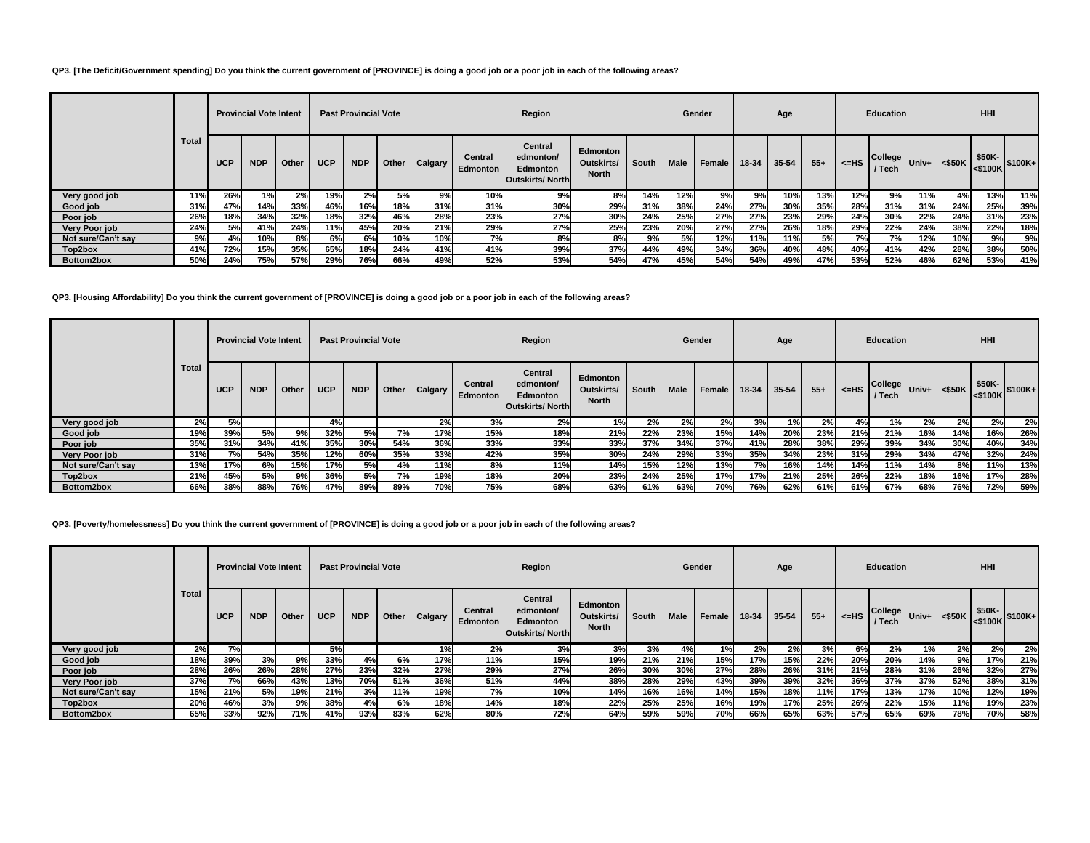**QP3. [The Deficit/Government spending] Do you think the current government of [PROVINCE] is doing a good job or a poor job in each of the following areas?**

|                    |              |            | <b>Provincial Vote Intent</b> |       |            | <b>Past Provincial Vote</b> |       |         |                            | Region                                                    |                                        |       |             | Gender |       | Age       |       |        | <b>Education</b>                                             |     |     | HHI                          |     |
|--------------------|--------------|------------|-------------------------------|-------|------------|-----------------------------|-------|---------|----------------------------|-----------------------------------------------------------|----------------------------------------|-------|-------------|--------|-------|-----------|-------|--------|--------------------------------------------------------------|-----|-----|------------------------------|-----|
|                    | <b>Total</b> | <b>UCP</b> | <b>NDP</b>                    | Other | <b>UCP</b> | <b>NDP</b>                  | Other | Calgary | <b>Central</b><br>Edmonton | Central<br>edmonton<br>Edmonton<br><b>Outskirts/North</b> | Edmonton<br>Outskirts/<br><b>North</b> | South | <b>Male</b> | Female | 18-34 | $35 - 54$ | $55+$ | $=$ HS | $\overline{18}$ College Univ+ $\overline{350}$ K I<br>/ Tech |     |     | $\frac{$50K}{5100K}$ \$100K+ |     |
| Very good job      | 11%          | 26%        | 1%                            | 2%    | 19%        | 2%                          | 5%    | 9%      | 10%                        | 9%                                                        | 8%                                     | 14%   | 12%         | 9%     | 9%    | 10%       | 13%   | 12%    | 9%                                                           | 11% | 4%  | 13%                          | 11% |
| Good job           | 31%          | 47%        | 14%                           | 33%   | 46%        | 16%                         | 18%   | 31%     | 31%                        | 30%                                                       | 29%                                    | 31%   | 38%         | 24%    | 27%   | 30%       | 35%   | 28%    | 31%                                                          | 31% | 24% | 25%                          | 39% |
| Poor job           | 26%          | 18%        | 34%                           | 32%   | 18%        | 32%                         | 46%   | 28%     | 23%                        | 27%                                                       | 30%                                    | 24%   | 25%         | 27%    | 27%   | 23%       | 29%   | 24%    | 30%                                                          | 22% | 24% | 31%                          | 23% |
| Very Poor job      | 24%          | 5%         | 41%                           | 24%   | 11%        | 45%                         | 20%   | 21%     | 29%                        | 27%                                                       | 25%                                    | 23%   | 20%         | 27%    | 27%   | 26%       | 18%   | 29%    | 22%                                                          | 24% | 38% | 22%                          | 18% |
| Not sure/Can't say | 9%           | 4%         | 10%                           | 8%    | 6%         | 6%                          | 10%   | 10%     | 7%                         | 8%                                                        | 8%                                     | 9%    | <b>5%</b>   | 12%    | 11%   | 11%       | 5%    | 7%     | 7%                                                           | 12% | 10% | 9%                           | 9%  |
| Top2box            | 41%          | 72%        | 15%                           | 35%   | 65%        | 18%                         | 24%   | 41%     | 41%                        | 39%                                                       | 37%                                    | 44%   | 49%         | 34%    | 36%   | 40%       | 48%   | 40%    | 41%                                                          | 42% | 28% | 38%                          | 50% |
| Bottom2box         | 50%          | 24%        | 75%                           | 57%   | 29%        | 76%                         | 66%   | 49%     | 52%                        | 53%                                                       | 54%                                    | 47%   | 45%         | 54%    | 54%   | 49%       | 47%   | 53%    | 52%                                                          | 46% | 62% | 53%                          | 41% |

**QP3. [Housing Affordability] Do you think the current government of [PROVINCE] is doing a good job or a poor job in each of the following areas?**

|                    |              |            | <b>Provincial Vote Intent</b> |       |            | <b>Past Provincial Vote</b> |       |         |                     | Region                                                     |                                        |       |             | Gender |       | Age       |       |        | <b>Education</b>                                          |     |     | <b>HHI</b> |     |
|--------------------|--------------|------------|-------------------------------|-------|------------|-----------------------------|-------|---------|---------------------|------------------------------------------------------------|----------------------------------------|-------|-------------|--------|-------|-----------|-------|--------|-----------------------------------------------------------|-----|-----|------------|-----|
|                    | <b>Total</b> | <b>UCP</b> | <b>NDF</b>                    | Other | <b>UCP</b> | <b>NDP</b>                  | Other | Calgary | Central<br>Edmonton | Central<br>edmonton/<br>Edmonton<br><b>Outskirts/North</b> | Edmonton<br>Outskirts/<br><b>North</b> | South | <b>Male</b> | Female | 18-34 | $35 - 54$ | $55+$ | $=$ HS | $\overline{MS}$ College Univ+ $\overline{SS0K}$<br>/ Tech |     |     | \$50K-     |     |
| Very good job      | 2%           | 5%         |                               |       | 4%         |                             |       | 2%      | 3%                  | 2%                                                         | 1%                                     | 2%    | 2%          | 2%     | 3%    | 1%        | 2%    | 4%     | 1%                                                        | 2%  | 2%  | 2%         | 2%  |
| Good job           | 19%          | 39%        | 5%                            | 9%    | 32%        | 5%                          | 7%    | 17%     | 15%                 | 18%                                                        | 21%                                    | 22%   | 23%         | 15%    | 14%   | 20%       | 23%   | 21%    | 21%                                                       | 16% | 14% | 16%        | 26% |
| Poor job           | 35%          | 31%        | 34%                           | 41%   | 35%        | 30%                         | 54%   | 36%     | 33%                 | 33%                                                        | 33%                                    | 37%   | 34%         | 37%    | 41%   | 28%       | 38%   | 29%    | 39%                                                       | 34% | 30% | 40%        | 34% |
| Very Poor job      | 31%          | 7%I        | 54%                           | 35%   | 12%        | 60%                         | 35%   | 33%     | 42%                 | 35%                                                        | 30%                                    | 24%   | 29%         | 33%    | 35%   | 34%       | 23%   | 31%    | 29%                                                       | 34% | 47% | 32%        | 24% |
| Not sure/Can't say | 13%          | 17%        | 6%                            | 15%   | 17%        | 5%                          | 4%    | 11%     | 8%                  | 11%                                                        | 14%                                    | 15%   | 12%         | 13%    | 7%    | 16%       | 14%   | 14%    | 11%                                                       | 14% | 8%  | 11%        | 13% |
| Top2box            | 21%          | 45%        | 5%                            | 9%    | 36%        | 5%l                         | 7%    | 19%     | 18%                 | 20%                                                        | 23%                                    | 24%   | 25%         | 17%    | 17%   | 21%       | 25%   | 26%    | 22%                                                       | 18% | 16% | 17%        | 28% |
| Bottom2box         | 66%          | 38%        | 88%                           | 76%   | 47%        | 89%                         | 89%   | 70%     | 75%                 | 68%                                                        | 63%                                    | 61%   | 63%         | 70%    | 76%   | 62%       | 61%   | 61%    | 67%                                                       | 68% | 76% | 72%        | 59% |

**QP3. [Poverty/homelessness] Do you think the current government of [PROVINCE] is doing a good job or a poor job in each of the following areas?**

|                    |              |            | <b>Provincial Vote Intent</b> |       |            | <b>Past Provincial Vote</b> |       |         |                     | Region                                                                   |                                        |       |             | Gender |       | Age       |       |        | Education                |       |           | HHI                                      |     |
|--------------------|--------------|------------|-------------------------------|-------|------------|-----------------------------|-------|---------|---------------------|--------------------------------------------------------------------------|----------------------------------------|-------|-------------|--------|-------|-----------|-------|--------|--------------------------|-------|-----------|------------------------------------------|-----|
|                    | <b>Total</b> | <b>UCP</b> | <b>NDP</b>                    | Other | <b>UCP</b> | <b>NDP</b>                  | Other | Calgary | Central<br>Edmonton | <b>Central</b><br>edmonton/<br><b>Edmonton</b><br><b>Outskirts/North</b> | Edmonton<br>Outskirts/<br><b>North</b> | South | <b>Male</b> | Female | 18-34 | $35 - 54$ | $55+$ | $=$ HS | <b>College</b><br>/ Tech | Univ+ | $<$ \$50K | \$50K-<br>$\frac{1}{2}$ <\$100K \\$100K+ |     |
| Very good job      | 2%           | 7%         |                               |       | 5%         |                             |       |         | 2%                  | 3%                                                                       | 3%                                     | 3%    | 4%          | 1%     | 2%    | 2%        | 3%    | 6%     | 2%                       | 1%    | 2%        | 2%                                       | 2%  |
| Good job           | 18%          | 39%        | 3%                            | 9%    | 33%        | 4%                          | 6%    | 17%     | 11%                 | 15%                                                                      | 19%                                    | 21%   | 21%         | 15%    | 17%   | 15%       | 22%   | 20%    | 20%                      | 14%   | 9%        | 17%                                      | 21% |
| Poor job           | 28%          | 26%        | 26%                           | 28%   | 27%        | 23%                         | 32%   | 27%     | 29%                 | 27%                                                                      | 26%                                    | 30%   | 30%         | 27%    | 28%   | 26%       | 31%   | 21%    | 28%                      | 31%   | 26%       | 32%                                      | 27% |
| Very Poor job      | 37%          | 7%         | 66%                           | 43%   | 13%        | 70%                         | 51%   | 36%     | 51%                 | 44%                                                                      | 38%                                    | 28%   | 29%         | 43%    | 39%   | 39%       | 32%   | 36%    | 37%                      | 37%   | 52%       | 38%                                      | 31% |
| Not sure/Can't sav | 15%          | 21%        | 5%                            | 19%   | 21%        | 3%                          | 11%   | 19%     | 7%                  | 10%                                                                      | 14%                                    | 16%   | 16%         | 14%    | 15%   | 18%       | 11%   | 17%    | 13%                      | 17%   | 10%       | 12%                                      | 19% |
| Top2box            | 20%          | 46%        | 3%                            | 9%    | 38%        | 4%                          | 6%    | 18%     | 14%                 | 18%                                                                      | 22%                                    | 25%   | 25%         | 16%    | 19%   | 17%       | 25%   | 26%    | 22%                      | 15%   | 11%       | 19%                                      | 23% |
| Bottom2box         | 65%          | 33%        | 92%                           | 71%   | 41%        | 93%                         | 83%   | 62%     | 80%                 | 72%                                                                      | 64%                                    | 59%   | 59%         | 70%    | 66%   | 65%       | 63%   | 57%    | 65%                      | 69%   | 78%       | 70%                                      | 58% |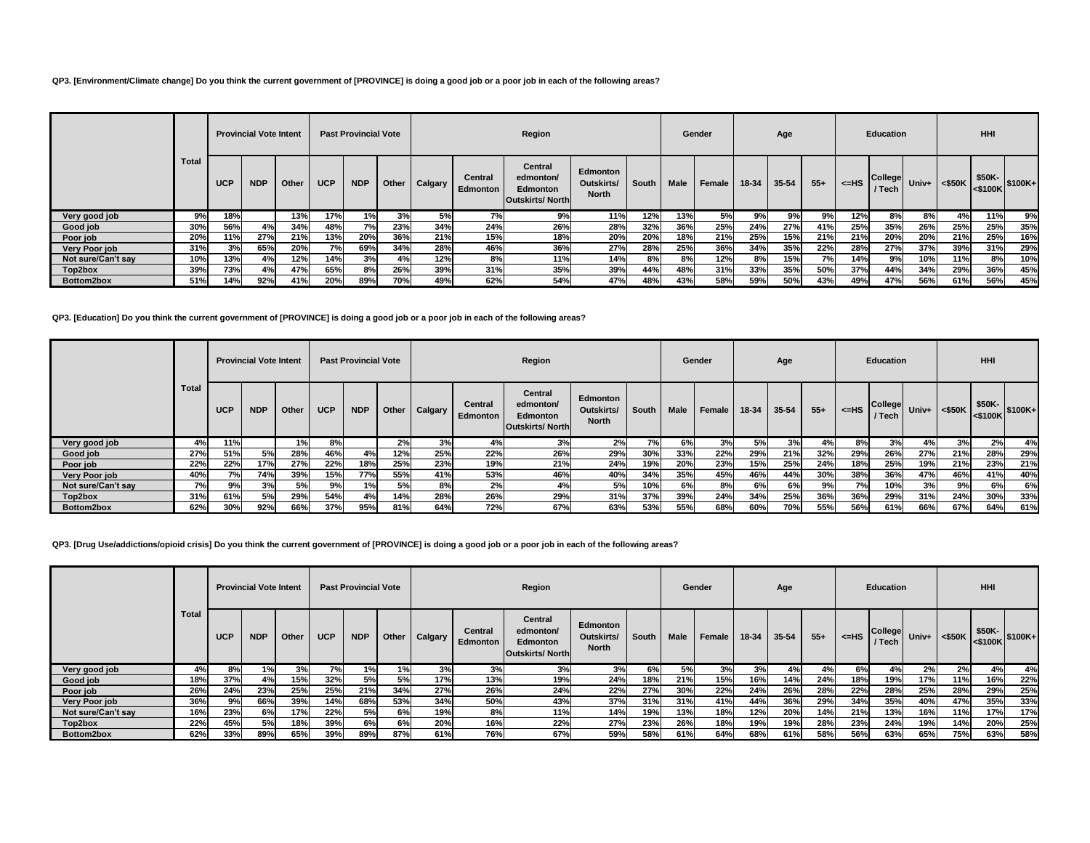#### **QP3. [Environment/Climate change] Do you think the current government of [PROVINCE] is doing a good job or a poor job in each of the following areas?**

|                    |              |            | <b>Provincial Vote Intent</b> |       |            | <b>Past Provincial Vote</b> |       |         |                     | Region                                                     |                                        |       |             | Gender |           | Age       |       |        | <b>Education</b>                                                             |     |     | HHI                    |     |
|--------------------|--------------|------------|-------------------------------|-------|------------|-----------------------------|-------|---------|---------------------|------------------------------------------------------------|----------------------------------------|-------|-------------|--------|-----------|-----------|-------|--------|------------------------------------------------------------------------------|-----|-----|------------------------|-----|
|                    | <b>Total</b> | <b>UCP</b> | <b>NDF</b>                    | Other | <b>UCP</b> | <b>NDP</b>                  | Other | Calgary | Central<br>Edmonton | Central<br>edmonton/<br>Edmonton<br><b>Outskirts/North</b> | Edmonton<br>Outskirts/<br><b>North</b> | South | <b>Male</b> | Female | $18 - 34$ | $35 - 54$ | $55+$ | $=$ HS | $\overline{AB}$ College Univ+ $\overline{S}$ <\$50K $\overline{S}$<br>/ Tech |     |     | \$50K-<br>S100K \$100K |     |
| Very good job      | 9%           | 18%        |                               | 13%   | 17%        | 1%                          | 3%    | 5%      | 7%                  | 9%                                                         | 11%                                    | 12%   | 13%         | 5%     | 9%        | 9%        | 9%    | 12%    | 8%                                                                           | 8%  | 4%  | 11%                    | 9%  |
| Good job           | 30%          | 56%        | 4%                            | 34%   | 48%        | 7%                          | 23%   | 34%     | 24%                 | 26%                                                        | 28%                                    | 32%   | 36%         | 25%    | 24%       | 27%       | 41%   | 25%    | 35%                                                                          | 26% | 25% | 25%                    | 35% |
| Poor job           | 20%          | 11%        | 27%                           | 21%   | 13%        | 20%                         | 36%   | 21%     | 15%                 | 18%                                                        | 20%                                    | 20%   | 18%         | 21%    | 25%       | 15%       | 21%   | 21%    | 20%                                                                          | 20% | 21% | 25%                    | 16% |
| Very Poor job      | 31%          | 3%         | 65%                           | 20%   | 7%         | 69%                         | 34%   | 28%     | 46%                 | 36%                                                        | 27%                                    | 28%   | 25%         | 36%    | 34%       | 35%       | 22%   | 28%    | 27%                                                                          | 37% | 39% | 31%                    | 29% |
| Not sure/Can't say | 10%          | 13%        | 4%                            | 12%   | 14%        | 3%                          | 4%    | 12%     | 8%                  | 11%                                                        | 14%                                    | 8%    | 8%          | 12%    | 8%        | 15%       | 7%    | 14%    | 9%                                                                           | 10% | 11% | 8%                     | 10% |
| Top2box            | 39%          | 73%        | 4%                            | 47%   | 65%        | 8%                          | 26%   | 39%     | 31%                 | 35%                                                        | 39%                                    | 44%   | 48%         | 31%    | 33%       | 35%       | 50%   | 37%    | 44%                                                                          | 34% | 29% | 36%                    | 45% |
| Bottom2box         | 51%          | 14%        | 92%                           | 41%   | 20%        | 89%                         | 70%   | 49%     | 62%                 | 54%                                                        | 47%                                    | 48%   | 43%         | 58%    | 59%       | 50%       | 43%   | 49%    | 47%                                                                          | 56% | 61% | 56%                    | 45% |

# **QP3. [Education] Do you think the current government of [PROVINCE] is doing a good job or a poor job in each of the following areas?**

|                    |              |            | <b>Provincial Vote Intent</b> |       |            | <b>Past Provincial Vote</b> |       |         |                     | Region                                                     |                                        |       |             | Gender |       | Age       |       |     | Education                                                                                                    |     |     | <b>HHI</b>                   |     |
|--------------------|--------------|------------|-------------------------------|-------|------------|-----------------------------|-------|---------|---------------------|------------------------------------------------------------|----------------------------------------|-------|-------------|--------|-------|-----------|-------|-----|--------------------------------------------------------------------------------------------------------------|-----|-----|------------------------------|-----|
|                    | <b>Total</b> | <b>UCP</b> | <b>NDP</b>                    | Other | <b>UCP</b> | <b>NDP</b>                  | Other | Calgary | Central<br>Edmonton | Central<br>edmonton/<br>Edmonton<br><b>Outskirts/North</b> | Edmonton<br>Outskirts/<br><b>North</b> | South | <b>Male</b> | Female | 18-34 | $35 - 54$ | $55+$ |     | $\leq$ HS $\left \begin{array}{cc} \text{College} \\ \text{Univ+} \end{array}\right $ $\leq$ \$50K<br>/ Tech |     |     | $\frac{$50K}{5100K}$ \$100K+ |     |
| Very good job      | 4%           | 11%        |                               | 1%    | 8%         |                             | 2%    | 3%      | 4%                  | 3%                                                         | 2%                                     | 7%    | 6%          | 3%     | 5%    | 3%        | 4%    | 8%  | 3%                                                                                                           | 4%  | 3%  | 2%                           | 4%  |
| Good job           | 27%          | 51%        | 5%                            | 28%   | 46%        | 4%                          | 12%   | 25%     | 22%                 | 26%                                                        | 29%                                    | 30%   | 33%         | 22%    | 29%   | 21%       | 32%   | 29% | 26%                                                                                                          | 27% | 21% | 28%                          | 29% |
| Poor job           | 22%          | 22%        | 17%                           | 27%   | 22%        | 18%                         | 25%   | 23%     | 19%                 | 21%                                                        | 24%                                    | 19%   | 20%         | 23%    | 15%   | 25%       | 24%   | 18% | 25%                                                                                                          | 19% | 21% | 23%                          | 21% |
| Very Poor job      | 40%          | 7%         | 74%                           | 39%   | 15%        | 77%                         | 55%   | 41%     | 53%                 | 46%                                                        | 40%                                    | 34%   | 35%         | 45%    | 46%   | 44%       | 30%   | 38% | 36%                                                                                                          | 47% | 46% | 41%                          | 40% |
| Not sure/Can't say | 7%           | 9%         | 3%                            | 5%    | 9%         | 1%                          | 5%    | 8%      | 2%                  | 4%                                                         | 5%                                     | 10%   | 6%          | 8%     | 6%    | 6%        | 9%    | 7%  | 10%                                                                                                          | 3%  | 9%  | 6%                           | 6%  |
| Top2box            | 31%          | 61%        | 5%                            | 29%   | 54%        | 4%                          | 14%   | 28%     | 26%                 | 29%                                                        | 31%                                    | 37%   | 39%         | 24%    | 34%   | 25%       | 36%   | 36% | 29%                                                                                                          | 31% | 24% | 30%                          | 33% |
| Bottom2box         | 62%          | 30%        | 92%                           | 66%   | 37%        | 95%                         | 81%   | 64%     | 72%                 | 67%                                                        | 63%                                    | 53%   | 55%         | 68%    | 60%   | 70%       | 55%   | 56% | 61%                                                                                                          | 66% | 67% | 64%                          | 61% |

**QP3. [Drug Use/addictions/opioid crisis] Do you think the current government of [PROVINCE] is doing a good job or a poor job in each of the following areas?**

|                    |              |            | <b>Provincial Vote Intent</b> |       |            | <b>Past Provincial Vote</b> |       |         |                     | Region                                                    |                                        |       |             | Gender |           | Age       |       |        | <b>Education</b>                                                          |     |     | <b>HHI</b>                   |     |
|--------------------|--------------|------------|-------------------------------|-------|------------|-----------------------------|-------|---------|---------------------|-----------------------------------------------------------|----------------------------------------|-------|-------------|--------|-----------|-----------|-------|--------|---------------------------------------------------------------------------|-----|-----|------------------------------|-----|
|                    | <b>Total</b> | <b>UCP</b> | <b>NDP</b>                    | Other | <b>UCP</b> | <b>NDP</b>                  | Other | Calgary | Central<br>Edmonton | Central<br>edmonton<br>Edmonton<br><b>Outskirts/North</b> | Edmonton<br>Outskirts/<br><b>North</b> | South | <b>Male</b> | Female | $18 - 34$ | $35 - 54$ | $55+$ | $=$ HS | $\overline{18}$ College Univ+ $\overline{550}$ K $\overline{1}$<br>/ Tech |     |     | $\frac{$50K}{5100K}$ \$100K+ |     |
| Very good job      | 4%           | 8%         | 1%                            | 3%    | 7%         | 1% l                        | 1%    | 3%      | 3%                  | 3%                                                        | 3%                                     | 6%    | 5%          | 3%     | 3%        | 4%        | 4%    | 6%     | 4%                                                                        | 2%  | 2%  | 4%                           | 4%  |
| Good job           | 18%          | 37%        | 4%                            | 15%   | 32%        | <b>5%</b>                   | 5%    | 17%     | 13%                 | 19%                                                       | 24%                                    | 18%   | 21%         | 15%    | 16%       | 14%       | 24%   | 18%    | 19%                                                                       | 17% | 11% | 16%                          | 22% |
| Poor job           | 26%          | 24%        | 23%                           | 25%   | 25%        | 21%                         | 34%   | 27%     | 26%                 | 24%                                                       | 22%                                    | 27%   | 30%         | 22%    | 24%       | 26%       | 28%   | 22%    | 28%                                                                       | 25% | 28% | 29%                          | 25% |
| Very Poor job      | 36%          | 9%         | 66%                           | 39%   | 14%        | 68%                         | 53%   | 34%     | 50%                 | 43%                                                       | 37%                                    | 31%   | 31%         | 41%    | 44%       | 36%       | 29%   | 34%    | 35%                                                                       | 40% | 47% | 35%                          | 33% |
| Not sure/Can't sav | 16%          | 23%        | 6%                            | 17%   | 22%        | 5%                          | 6%    | 19%     | 8%                  | 11%                                                       | 14%                                    | 19%   | 13%         | 18%    | 12%       | 20%       | 14%   | 21%    | 13%                                                                       | 16% | 11% | 17%                          | 17% |
| Top2box            | 22%          | 45%        | 5%                            | 18%   | 39%        | 6%                          | 6%    | 20%     | 16%                 | 22%                                                       | 27%                                    | 23%   | 26%         | 18%    | 19%       | 19%       | 28%   | 23%    | 24%                                                                       | 19% | 14% | 20%                          | 25% |
| Bottom2box         | 62%          | 33%        | 89%                           | 65%   | 39%        | 89%                         | 87%   | 61%     | 76%                 | 67%                                                       | 59%                                    | 58%   | 61%         | 64%    | 68%       | 61%       | 58%   | 56%    | 63%                                                                       | 65% | 75% | 63%                          | 58% |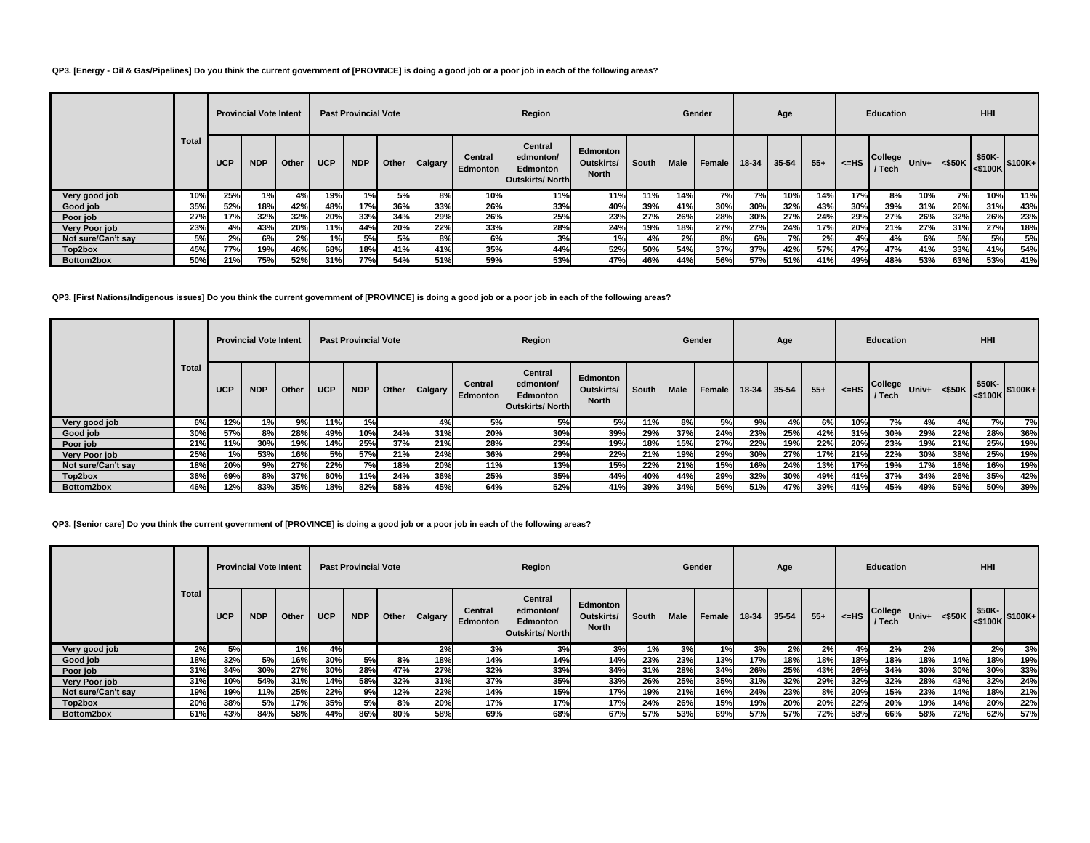**QP3. [Energy - Oil & Gas/Pipelines] Do you think the current government of [PROVINCE] is doing a good job or a poor job in each of the following areas?**

|                    |              |            | <b>Provincial Vote Intent</b> |       |            | <b>Past Provincial Vote</b> |       |         |                     | Region                                                            |                                        |       |             | Gender |       | Age   |       |        | <b>Education</b>  |       |           | HHI                   |           |
|--------------------|--------------|------------|-------------------------------|-------|------------|-----------------------------|-------|---------|---------------------|-------------------------------------------------------------------|----------------------------------------|-------|-------------|--------|-------|-------|-------|--------|-------------------|-------|-----------|-----------------------|-----------|
|                    | <b>Total</b> | <b>UCP</b> | <b>NDP</b>                    | Other | <b>UCP</b> | <b>NDP</b>                  | Other | Calgary | Central<br>Edmonton | Central<br>edmonton/<br><b>Edmonton</b><br><b>Outskirts/North</b> | Edmonton<br>Outskirts/<br><b>North</b> | South | <b>Male</b> | Female | 18-34 | 35-54 | $55+$ | $=$ HS | College<br>/ Tech | Univ+ | $<$ \$50K | \$50K-<br>$ $ <\$100K | $ $100K+$ |
| Very good job      | 10%          | 25%        | 1%                            | 4%    | 19%        | 1%                          | 5%    | 8%      | 10%                 | 11%                                                               | 11%                                    | 11%   | 14%         | 7%I    | 7%    | 10%   | 14%   | 17%    | 8%                | 10%   | 7%)       | 10%                   | 11%       |
| Good job           | 35%          | 52%        | 18%                           | 42%   | 48%        | 17%                         | 36%   | 33%     | 26%                 | 33%                                                               | 40%                                    | 39%   | 41%         | 30%    | 30%   | 32%   | 43%   | 30%    | 39%               | 31%   | 26%       | 31%                   | 43%       |
| Poor job           | 27%          | 17%        | 32%                           | 32%   | 20%        | 33%                         | 34%   | 29%     | 26%                 | 25%                                                               | 23%                                    | 27%   | 26%         | 28%    | 30%   | 27%   | 24%   | 29%    | 27%               | 26%   | 32%       | 26%                   | 23%       |
| Very Poor job      | 23%          | 4%         | 43%                           | 20%   | 11%        | 44%                         | 20%   | 22%     | 33%                 | 28%                                                               | 24%                                    | 19%   | 18%         | 27%    | 27%   | 24%   | 17%   | 20%    | 21%               | 27%   | 31%       | 27%                   | 18%       |
| Not sure/Can't sav | 5%           | 2%         | 6%                            | 2%    | 1%         | 5%                          | 5%    | 8%      | 6%                  | 3%                                                                | 1%                                     | 4%    | 2%          | 8%     | 6%    | 7%    | 2%    | 4%     | 4%                | 6%    | 5%        | 5%                    | 5%        |
| Top2box            | 45%          | 77%        | 19%                           | 46%   | 68%        | 18%                         | 41%   | 41%     | 35%                 | 44%                                                               | 52%                                    | 50%   | 54%         | 37%    | 37%   | 42%   | 57%   | 47%    | 47%               | 41%   | 33%       | 41%                   | 54%       |
| Bottom2box         | 50%          | 21%        | 75%                           | 52%   | 31%        | <b>77%</b>                  | 54%   | 51%     | 59%                 | 53%                                                               | 47%                                    | 46%   | 44%         | 56%    | 57%   | 51%   | 41%   | 49%    | 48%               | 53%   | 63%       | 53%                   | 41%       |

**QP3. [First Nations/Indigenous issues] Do you think the current government of [PROVINCE] is doing a good job or a poor job in each of the following areas?**

|                    |              |            | <b>Provincial Vote Intent</b> |       |            | <b>Past Provincial Vote</b> |       |         |                     | Region                                                     |                                 |       |             | Gender |       | Age       |       |      | Education                   |     |           | <b>HHI</b>                         |     |
|--------------------|--------------|------------|-------------------------------|-------|------------|-----------------------------|-------|---------|---------------------|------------------------------------------------------------|---------------------------------|-------|-------------|--------|-------|-----------|-------|------|-----------------------------|-----|-----------|------------------------------------|-----|
|                    | <b>Total</b> | <b>UCP</b> | <b>NDP</b>                    | Other | <b>UCP</b> | <b>NDP</b>                  | Other | Calgary | Central<br>Edmonton | Central<br>edmonton/<br>Edmonton<br><b>Outskirts/North</b> | Edmonton<br>Outskirts/<br>North | South | <b>Male</b> | Female | 18-34 | $35 - 54$ | $55+$ | <=HS | College Univ+   <<br>/ Tech |     | $<$ \$50K | \$50K-<br>$\frac{1}{100K}$ \$100K+ |     |
| Very good job      | 6%           | 12%        | 1%                            | 9%    | 11%        | 1%                          |       |         | 5%                  | 5%                                                         | 5%                              | 11%   | 8%          | 5%     | 9%    | 4%        | 6%    | 10%  | 7%                          | 4%  | 4%        | 7%                                 | 7%  |
| Good job           | 30%          | 57%        | 8%                            | 28%   | 49%        | 10%                         | 24%   | 31%     | 20%                 | 30%                                                        | 39%                             | 29%   | 37%         | 24%    | 23%   | 25%       | 42%   | 31%  | 30%                         | 29% | 22%       | 28%                                | 36% |
| Poor job           | 21%          | 11%        | 30%                           | 19%   | 14%        | 25%                         | 37%   | 21%     | 28%                 | 23%                                                        | 19%                             | 18%   | 15%         | 27%    | 22%   | 19%       | 22%   | 20%  | 23%                         | 19% | 21%       | 25%                                | 19% |
| Very Poor job      | 25%          | 1%         | 53%                           | 16%   | 5%         | 57%                         | 21%   | 24%     | 36%                 | 29%                                                        | 22%                             | 21%   | 19%         | 29%    | 30%   | 27%       | 17%   | 21%  | 22%                         | 30% | 38%       | 25%                                | 19% |
| Not sure/Can't say | 18%          | 20%        | 9%                            | 27%   | 22%        | 7%                          | 18%   | 20%     | 11%                 | 13%                                                        | 15%                             | 22%   | 21%         | 15%    | 16%   | 24%       | 13%   | 17%  | 19%                         | 17% | 16%       | 16%                                | 19% |
| Top2box            | 36%          | 69%        | 8%                            | 37%   | 60%        | 11%                         | 24%   | 36%     | 25%                 | 35%                                                        | 44%                             | 40%   | 44%         | 29%    | 32%   | 30%       | 49%   | 41%  | 37%                         | 34% | 26%       | 35%                                | 42% |
| Bottom2box         | 46%          | 12%        | 83%                           | 35%   | 18%        | 82%                         | 58%   | 45%     | 64%                 | 52%                                                        | 41%                             | 39%   | 34%         | 56%    | 51%   | 47%       | 39%   | 41%  | 45%                         | 49% | 59%       | 50%                                | 39% |

**QP3. [Senior care] Do you think the current government of [PROVINCE] is doing a good job or a poor job in each of the following areas?**

|                    |              |            | <b>Provincial Vote Intent</b> |       |            | <b>Past Provincial Vote</b> |       |         |                     | Region                                                                   |                                        |       |             | Gender |       | Age       |       |        | Education                |       |           | HHI                                      |     |
|--------------------|--------------|------------|-------------------------------|-------|------------|-----------------------------|-------|---------|---------------------|--------------------------------------------------------------------------|----------------------------------------|-------|-------------|--------|-------|-----------|-------|--------|--------------------------|-------|-----------|------------------------------------------|-----|
|                    | <b>Total</b> | <b>UCP</b> | <b>NDP</b>                    | Other | <b>UCP</b> | <b>NDP</b>                  | Other | Calgary | Central<br>Edmonton | <b>Central</b><br>edmonton/<br><b>Edmonton</b><br><b>Outskirts/North</b> | Edmonton<br>Outskirts/<br><b>North</b> | South | <b>Male</b> | Female | 18-34 | $35 - 54$ | $55+$ | $=$ HS | <b>College</b><br>/ Tech | Univ+ | $<$ \$50K | \$50K-<br>$\frac{1}{2}$ <\$100K \\$100K+ |     |
| Very good job      | 2%           | 5%         |                               | 1%    | 4%         |                             |       | 2%      | 3%                  | 3%                                                                       | 3%                                     | 1%    | 3%          | 1%     | 3%    | 2%        | 2%    | 4%     | 2%                       | 2%    |           | 2%                                       | 3%  |
| Good job           | 18%          | 32%        | 5%                            | 16%   | 30%        | <b>5%</b>                   | 8%    | 18%     | 14%                 | 14%                                                                      | 14%                                    | 23%   | 23%         | 13%    | 17%   | 18%       | 18%   | 18%    | 18%                      | 18%   | 14%       | 18%                                      | 19% |
| Poor job           | 31%          | 34%        | 30%                           | 27%   | 30%        | 28%                         | 47%   | 27%     | 32%                 | 33%                                                                      | 34%                                    | 31%   | 28%         | 34%    | 26%   | 25%       | 43%   | 26%    | 34%                      | 30%   | 30%       | 30%                                      | 33% |
| Very Poor job      | 31%          | 10%        | 54%                           | 31%   | 14%        | 58%                         | 32%   | 31%     | 37%                 | 35%                                                                      | 33%                                    | 26%   | 25%         | 35%    | 31%   | 32%       | 29%   | 32%    | 32%                      | 28%   | 43%       | 32%                                      | 24% |
| Not sure/Can't sav | 19%          | 19%        | 11%                           | 25%   | 22%        | 9%                          | 12%   | 22%     | 14%                 | 15%                                                                      | 17%                                    | 19%   | 21%         | 16%    | 24%   | 23%       | 8%    | 20%    | 15%                      | 23%   | 14%       | 18%                                      | 21% |
| Top2box            | 20%          | 38%        | 5%                            | 17%   | 35%        | <b>5%</b>                   | 8%    | 20%     | 17%                 | 17%                                                                      | 17%                                    | 24%   | 26%         | 15%    | 19%   | 20%       | 20%   | 22%    | 20%                      | 19%   | 14%       | 20%                                      | 22% |
| Bottom2box         | 61%          | 43%        | 84%                           | 58%   | 44%        | 86%                         | 80%   | 58%     | 69%                 | 68%                                                                      | 67%                                    | 57%   | 53%         | 69%    | 57%   | 57%       | 72%   | 58%    | 66%                      | 58%   | 72%       | 62%                                      | 57% |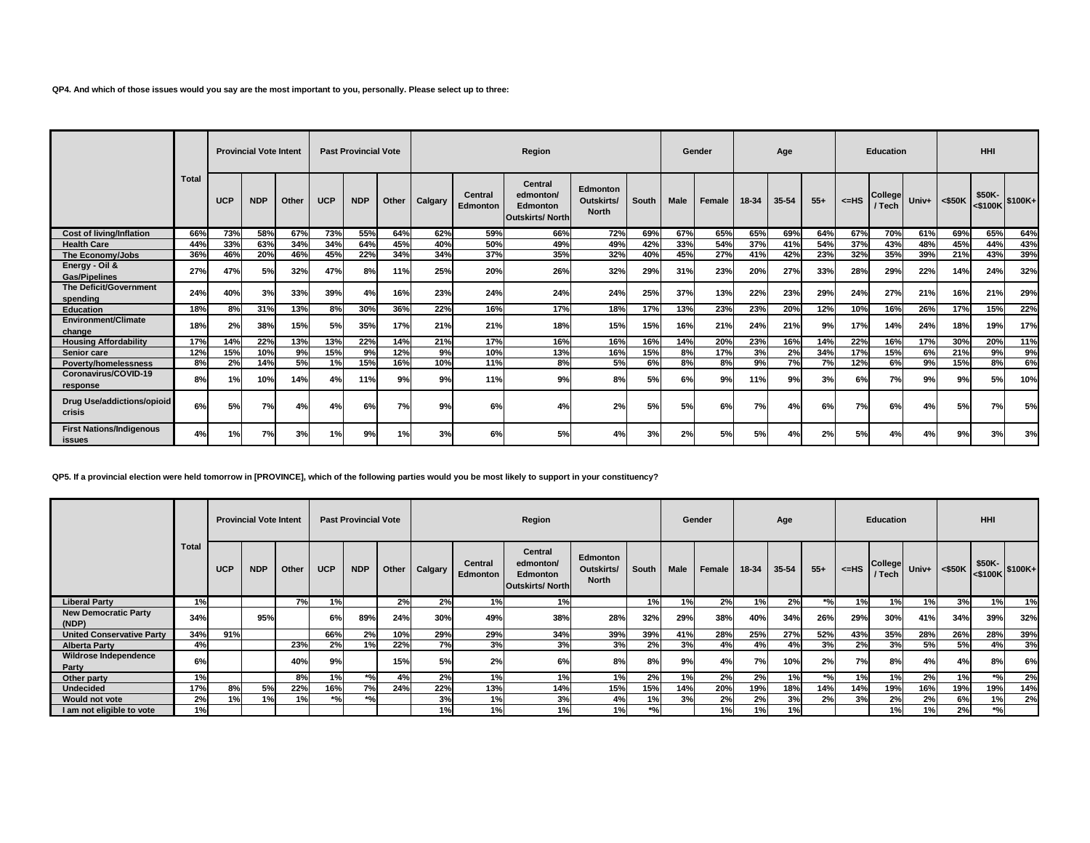**QP4. And which of those issues would you say are the most important to you, personally. Please select up to three:**

|                                           |              |            | <b>Provincial Vote Intent</b> |       |            | <b>Past Provincial Vote</b> |       |         |                     | Region                                                    |                                        |       |             | Gender |       | Age   |       |       | <b>Education</b>  |            |           | <b>HHI</b>           |         |
|-------------------------------------------|--------------|------------|-------------------------------|-------|------------|-----------------------------|-------|---------|---------------------|-----------------------------------------------------------|----------------------------------------|-------|-------------|--------|-------|-------|-------|-------|-------------------|------------|-----------|----------------------|---------|
|                                           | <b>Total</b> | <b>UCP</b> | <b>NDP</b>                    | Other | <b>UCP</b> | <b>NDP</b>                  | Other | Calgary | Central<br>Edmonton | Central<br>edmonton<br>Edmonton<br><b>Outskirts/North</b> | Edmonton<br>Outskirts/<br><b>North</b> | South | <b>Male</b> | Female | 18-34 | 35-54 | $55+$ | $=HS$ | College<br>/ Tech | Univ+ $\ $ | $<$ \$50K | \$50K-<br>$<$ \$100K | \$100K+ |
| <b>Cost of living/Inflation</b>           | 66%          | 73%        | 58%                           | 67%   | 73%        | 55%                         | 64%   | 62%     | 59%                 | 66%                                                       | 72%                                    | 69%   | 67%         | 65%    | 65%   | 69%   | 64%   | 67%   | 70%               | 61%        | 69%       | 65%                  | 64%     |
| <b>Health Care</b>                        | 44%          | 33%        | 63%                           | 34%   | 34%        | 64%                         | 45%   | 40%     | 50%                 | 49%                                                       | 49%                                    | 42%   | 33%         | 54%    | 37%   | 41%   | 54%   | 37%   | 43%               | 48%        | 45%       | 44%                  | 43%     |
| The Economy/Jobs                          | 36%          | 46%        | 20%                           | 46%   | 45%        | 22%                         | 34%   | 34%     | 37%                 | 35%                                                       | 32%                                    | 40%   | 45%         | 27%    | 41%   | 42%   | 23%   | 32%   | 35%               | 39%        | 21%       | 43%                  | 39%     |
| Energy - Oil &<br><b>Gas/Pipelines</b>    | 27%          | 47%        | 5%                            | 32%   | 47%        | 8%                          | 11%   | 25%     | 20%                 | 26%                                                       | 32%                                    | 29%   | 31%         | 23%    | 20%   | 27%   | 33%   | 28%   | 29%               | 22%        | 14%       | 24%                  | 32%     |
| The Deficit/Government<br>spending        | 24%          | 40%        | 3%                            | 33%   | 39%        | 4%                          | 16%   | 23%     | 24%                 | 24%                                                       | 24%                                    | 25%   | 37%         | 13%    | 22%   | 23%   | 29%   | 24%   | 27%               | 21%        | 16%       | 21%                  | 29%     |
| <b>Education</b>                          | 18%          | 8%         | 31%                           | 13%   | 8%         | 30%                         | 36%   | 22%     | 16%                 | 17%                                                       | 18%                                    | 17%   | 13%         | 23%    | 23%   | 20%   | 12%   | 10%   | 16%               | 26%        | 17%       | 15%                  | 22%     |
| Environment/Climate<br>change             | 18%          | 2%         | 38%                           | 15%   | 5%         | 35%                         | 17%   | 21%     | 21%                 | 18%                                                       | 15%                                    | 15%   | 16%         | 21%    | 24%   | 21%   | 9%    | 17%   | 14%               | 24%        | 18%       | 19%                  | 17%     |
| <b>Housing Affordability</b>              | 17%          | 14%        | 22%                           | 13%   | 13%        | 22%                         | 14%   | 21%     | 17%                 | 16%                                                       | 16%                                    | 16%   | 14%         | 20%    | 23%   | 16%   | 14%   | 22%   | 16%               | 17%        | 30%       | 20%                  | 11%     |
| Senior care                               | 12%          | 15%        | 10%                           | 9%    | 15%        | 9%                          | 12%   | 9%      | 10%                 | 13%                                                       | 16%                                    | 15%   | 8%          | 17%    | 3%    | 2%    | 34%   | 17%   | 15%               | 6%         | 21%       | 9%                   | 9%      |
| <b>Poverty/homelessness</b>               | 8%           | 2%         | 14%                           | 5%    | 1%         | 15%                         | 16%   | 10%     | 11%                 | 8%                                                        | 5%                                     | 6%    | 8%          | 8%     | 9%    | 7%    | 7%    | 12%   | 6%                | 9%         | 15%       | 8%                   | 6%      |
| Coronavirus/COVID-19<br>response          | 8%           | 1%         | 10%                           | 14%   | 4%         | 11%                         | 9%    | 9%      | 11%                 | 9%                                                        | 8%                                     | 5%    | 6%          | 9%     | 11%   | 9%    | 3%    | 6%    | 7%                | 9%         | 9%        | 5%                   | 10%     |
| Drug Use/addictions/opioid<br>crisis      | 6%           | 5%         | 7%                            | 4%    | 4%         | 6%                          | 7%    | 9%      | 6%                  | 4%                                                        | 2%                                     | 5%    | 5%          | 6%     | 7%    | 4%    | 6%    | 7%    | 6%                | 4%         | 5%        | 7%                   | 5%      |
| <b>First Nations/Indigenous</b><br>issues | 4%           | 1%         | 7%                            | 3%    | 1%         | 9%                          | 1%    | 3%      | 6%                  | 5%                                                        | 4%                                     | 3%    | 2%          | 5%     | 5%    | 4%    | 2%    | 5%    | 4%                | 4%         | 9%        | 3%                   | 3%      |

**QP5. If a provincial election were held tomorrow in [PROVINCE], which of the following parties would you be most likely to support in your constituency?**

|                                      |              |            | <b>Provincial Vote Intent</b> |       |            | <b>Past Provincial Vote</b> |       |         |                     | Region                                                            |                                        |                             |             | Gender |       | Age       |       |        | <b>Education</b>            |     |           | <b>HHI</b>                                                                               |     |
|--------------------------------------|--------------|------------|-------------------------------|-------|------------|-----------------------------|-------|---------|---------------------|-------------------------------------------------------------------|----------------------------------------|-----------------------------|-------------|--------|-------|-----------|-------|--------|-----------------------------|-----|-----------|------------------------------------------------------------------------------------------|-----|
|                                      | <b>Total</b> | <b>UCP</b> | <b>NDP</b>                    | Other | <b>UCP</b> | <b>NDP</b>                  | Other | Calgary | Central<br>Edmonton | Central<br>edmonton/<br><b>Edmonton</b><br><b>Outskirts/North</b> | Edmonton<br>Outskirts/<br><b>North</b> | South                       | <b>Male</b> | Female | 18-34 | $35 - 54$ | $55+$ | $=$ HS | College Univ+   -<br>/ Tech |     | $<$ \$50K | $\begin{array}{ c c }\n\hline\n\text{$50K-}\n\hline\n\text{$100K+}\n\hline\n\end{array}$ |     |
| <b>Liberal Party</b>                 | 1%           |            |                               | 7%    | 1%         |                             | 2%    | 2%      | 1%                  | 1%                                                                |                                        | 1%                          | 1%          | 2%     | 1%    | 2%        | $*$ % | 1%     | 1%                          | 1%  | 3%        | 1%                                                                                       | 1%  |
| <b>New Democratic Party</b><br>(NDP) | 34%          |            | 95%                           |       | 6%         | 89%                         | 24%   | 30%     | 49%                 | 38%                                                               | 28%                                    | 32%                         | 29%         | 38%    | 40%   | 34%       | 26%   | 29%    | 30%                         | 41% | 34%       | 39%                                                                                      | 32% |
| <b>United Conservative Party</b>     | 34%          | 91%        |                               |       | 66%        | 2%                          | 10%   | 29%     | 29%                 | 34%                                                               | 39%                                    | 39%                         | 41%         | 28%    | 25%   | 27%       | 52%   | 43%    | 35%                         | 28% | 26%       | 28%                                                                                      | 39% |
| <b>Alberta Party</b>                 | 4%           |            |                               | 23%   | 2%         | 1%                          | 22%   | 7%      | 3%                  | 3%                                                                | 3%                                     | 2%                          | 3%          | 4%     | 4%    | 4%        | 3%    | 2%     | 3%                          | 5%  | 5%        | 4%                                                                                       | 3%  |
| Wildrose Independence<br>Party       | 6%           |            |                               | 40%   | 9%         |                             | 15%   | 5%      | 2%                  | 6%                                                                | 8%                                     | 8%                          | 9%          | 4%     | 7%    | 10%       | 2%    | 7%     | 8%                          | 4%  | 4%        | 8%                                                                                       | 6%  |
| Other party                          | 1%           |            |                               | 8%    | 1%         | $*$ %                       | 4%    | 2%      | 1%                  | 1%                                                                | 1%                                     | 2%                          | 1%          | 2%     | 2%    | 1%        | $*$ % | 1%     | 1%                          | 2%  | 1%        | $*$ %                                                                                    | 2%  |
| <b>Undecided</b>                     | 17%          | 8%         | 5%                            | 22%   | 16%        | <b>7%</b>                   | 24%   | 22%     | 13%                 | 14%                                                               | 15%                                    | 15%                         | 14%         | 20%    | 19%   | 18%       | 14%   | 14%    | 19%                         | 16% | 19%       | 19%                                                                                      | 14% |
| <b>Would not vote</b>                | 2%           | 1%         | 1%                            | 1%    | $*$ %      | $*961$                      |       | 3%      | 1%                  | 3%                                                                | 4%                                     | 1%                          | 3%          | 2%     | 2%    | 3%        | 2%    | 3%     | 2%                          | 2%  | 6%        | 1%                                                                                       | 2%  |
| I am not eligible to vote            | 1%           |            |                               |       |            |                             |       | 1%      | 1%                  | 1%                                                                | 1%                                     | $*$ <sup>o</sup> / $\alpha$ |             | 1%     | 1%    | 1%        |       |        | 1%                          | 1%  | 2%        | $*$ <sup>o</sup> / <sub>0</sub>                                                          |     |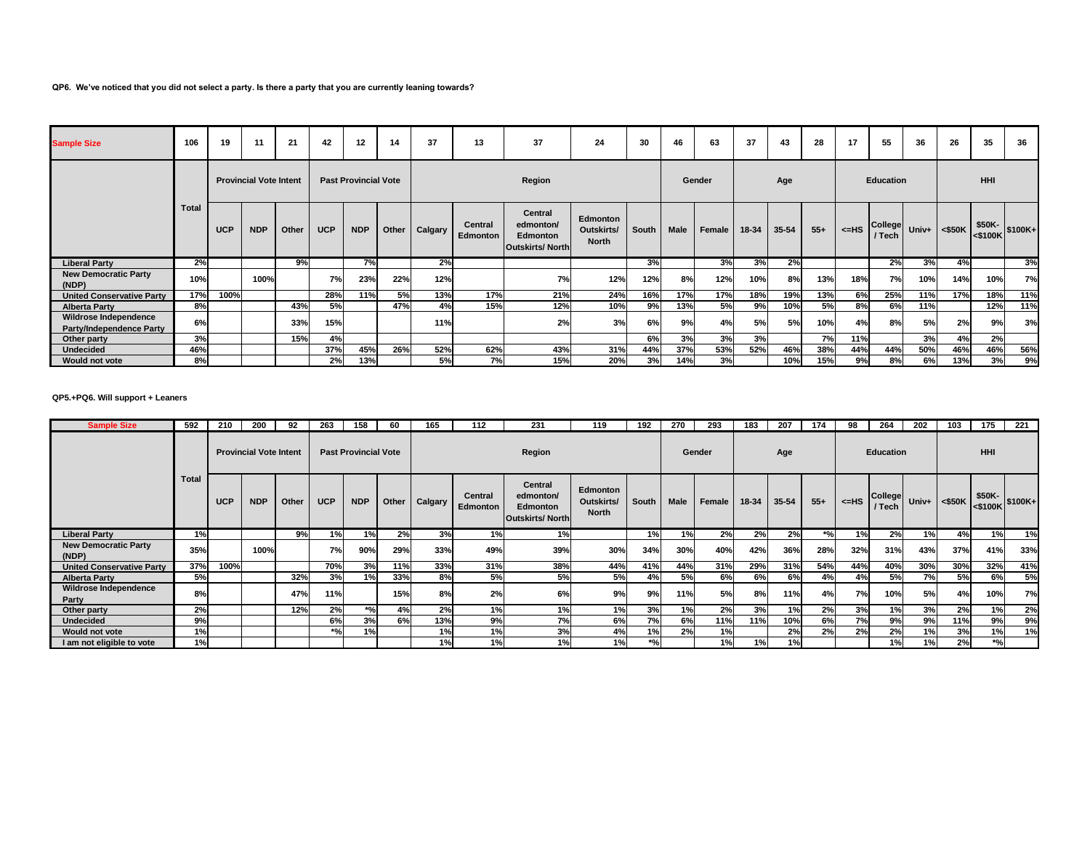# **QP6. We've noticed that you did not select a party. Is there a party that you are currently leaning towards?**

| <b>Sample Size</b>                                | 106   | 19         | -11                           | 21    | 42         | 12                          | 14    | 37      | 13                  | 37                                                                | 24                                     | 30    | 46          | 63     | 37    | 43        | 28    | 17     | 55                                           | 36  | 26  | 35                   | 36      |
|---------------------------------------------------|-------|------------|-------------------------------|-------|------------|-----------------------------|-------|---------|---------------------|-------------------------------------------------------------------|----------------------------------------|-------|-------------|--------|-------|-----------|-------|--------|----------------------------------------------|-----|-----|----------------------|---------|
|                                                   |       |            | <b>Provincial Vote Intent</b> |       |            | <b>Past Provincial Vote</b> |       |         |                     | Region                                                            |                                        |       |             | Gender |       | Age       |       |        | <b>Education</b>                             |     |     | <b>HHI</b>           |         |
|                                                   | Total | <b>UCP</b> | <b>NDP</b>                    | Other | <b>UCP</b> | <b>NDP</b>                  | Other | Calgary | Central<br>Edmonton | Central<br>edmonton/<br><b>Edmonton</b><br><b>Outskirts/North</b> | Edmonton<br>Outskirts/<br><b>North</b> | South | <b>Male</b> | Female | 18-34 | $35 - 54$ | $55+$ | $=$ HS | $\frac{1}{2}$ College Univ+ <\$50K<br>/ Tech |     |     | \$50K-<br>$<$ \$100K | \$100K+ |
| <b>Liberal Party</b>                              | 2%    |            |                               | 9%    |            | 7%                          |       | 2%      |                     |                                                                   |                                        | $3\%$ |             | 3%     | 3%    | 2%        |       |        | 2%                                           | 3%  | 4%  |                      | 3%      |
| <b>New Democratic Party</b><br>(NDP)              | 10%   |            | 100%                          |       | 7%         | 23%                         | 22%   | 12%     |                     | 7%                                                                | 12%                                    | 12%   | 8%          | 12%    | 10%   | 8%        | 13%   | 18%    | 7%                                           | 10% | 14% | 10%                  | 7%      |
| <b>United Conservative Party</b>                  | 17%   | 100%       |                               |       | 28%        | 11%                         | 5%    | 13%     | 17%                 | 21%                                                               | 24%                                    | 16%   | 17%         | 17%    | 18%   | 19%       | 13%   | 6%     | 25%                                          | 11% | 17% | 18%                  | 11%     |
| <b>Alberta Party</b>                              | 8%    |            |                               | 43%   | 5%         |                             | 47%   | 4%      | 15%                 | 12%                                                               | 10%                                    | 9%    | 13%         | 5%     | 9%    | 10%       | 5%    | 8%     | 6%                                           | 11% |     | 12%                  | 11%     |
| Wildrose Independence<br>Party/Independence Party | 6%    |            |                               | 33%   | 15%        |                             |       | 11%     |                     | 2%                                                                | 3%                                     | 6%    | 9%          | 4%     | 5%    | 5%        | 10%   | 4%     | 8%                                           | 5%  | 2%  | 9%                   | 3%      |
| Other party                                       | 3%    |            |                               | 15%   | 4%         |                             |       |         |                     |                                                                   |                                        | 6%    | 3%          | 3%     | 3%    |           | 7%    | 11%    |                                              | 3%  | 4%  | 2%                   |         |
| <b>Undecided</b>                                  | 46%   |            |                               |       | 37%        | 45%                         | 26%   | 52%     | 62%                 | 43%                                                               | 31%                                    | 44%   | 37%         | 53%    | 52%   | 46%       | 38%   | 44%    | 44%                                          | 50% | 46% | 46%                  | 56%     |
| Would not vote                                    | 8%    |            |                               |       | 2%         | 13%                         |       | 5%      | 7%                  | 15%                                                               | 20%                                    | 3%    | 14%         | 3%     |       | 10%       | 15%   | 9%     | 8%                                           | 6%  | 13% | 3%                   | 9%      |

#### **QP5.+PQ6. Will support + Leaners**

| <b>Sample Size</b>                   | 592          | 210        | 200                           | 92    | 263                | 158                         | 60    | 165     | 112                 | 231                                                               | 119                                    | 192   | 270  | 293    | 183   | 207       | 174   | 98     | 264              | 202             | 103       | 175                  | 221      |
|--------------------------------------|--------------|------------|-------------------------------|-------|--------------------|-----------------------------|-------|---------|---------------------|-------------------------------------------------------------------|----------------------------------------|-------|------|--------|-------|-----------|-------|--------|------------------|-----------------|-----------|----------------------|----------|
|                                      |              |            | <b>Provincial Vote Intent</b> |       |                    | <b>Past Provincial Vote</b> |       |         |                     | Region                                                            |                                        |       |      | Gender |       | Age       |       |        | <b>Education</b> |                 |           | <b>HHI</b>           |          |
|                                      | <b>Total</b> | <b>UCP</b> | <b>NDP</b>                    | Other | <b>UCP</b>         | <b>NDP</b>                  | Other | Calgary | Central<br>Edmonton | Central<br>edmonton/<br><b>Edmonton</b><br><b>Outskirts/North</b> | Edmonton<br>Outskirts/<br><b>North</b> | South | Male | Female | 18-34 | $35 - 54$ | $55+$ | $=$ HS | / Tech           | - College Univ+ | $<$ \$50K | \$50K-<br>$<$ \$100K | $$100K+$ |
| <b>Liberal Party</b>                 | 1%           |            |                               | 9%    | 1%                 | $1\%$                       | 2%    | 3%      | $1\%$               | 1%                                                                |                                        | $1\%$ | 1%   | 2%     | 2%    | 2%        | $*$ % | 1%     | 2%               | 1%              | 4%        | $1\%$                | 1%       |
| <b>New Democratic Party</b><br>(NDP) | 35%          |            | 100%                          |       | 7%                 | 90%                         | 29%   | 33%     | 49%                 | 39%                                                               | 30%                                    | 34%   | 30%  | 40%    | 42%   | 36%       | 28%   | 32%    | 31%              | 43%             | 37%       | 41%                  | 33%      |
| <b>United Conservative Party</b>     | 37%          | 100%       |                               |       | 70%                | 3%                          | 11%   | 33%     | 31%                 | 38%                                                               | 44%                                    | 41%   | 44%  | 31%    | 29%   | 31%       | 54%   | 44%    | 40%              | 30%             | 30%       | 32%                  | 41%      |
| <b>Alberta Party</b>                 | 5%           |            |                               | 32%   | 3%                 | 1%                          | 33%   | 8%      | 5%                  | 5%                                                                | 5%                                     | 4%    | 5%   | 6%     | 6%    | 6%        | 4%    | 4%     | 5%               | 7%              | 5%        | 6%                   | 5%       |
| Wildrose Independence<br>Party       | 8%           |            |                               | 47%   | 11%                |                             | 15%   | 8%      | 2%                  | 6%                                                                | 9%                                     | 9%    | 11%  | 5%     | 8%    | 11%       | 4%    | 7%     | 10%              | 5%              | 4%        | 10%                  | 7%       |
| Other party                          | 2%           |            |                               | 12%   | 2%                 | $*$ %                       | 4%    | 2%      | 1%                  | 1%                                                                | 1%                                     | 3%    | 1%   | 2%     | 3%    | 1%        | 2%    | 3%     | 1%               | 3%              | 2%        | 1%                   | 2%       |
| <b>Undecided</b>                     | 9%           |            |                               |       | 6%                 | 3%                          | 6%    | 13%     | 9%                  | 7%                                                                | 6%                                     | 7%    | 6%   | 11%    | 11%   | 10%       | 6%    | 7%     | 9%               | 9%              | 11%       | 9%                   | 9%       |
| <b>Would not vote</b>                | 1%           |            |                               |       | $*$ <sup>o</sup> / | 1%                          |       | 1%      | 1%                  | 3%                                                                | 4%                                     | 1%    | 2%   | 1%     |       | 2%        | 2%    | 2%     | 2%               | 1%              | 3%        | 1%                   | 1%       |
| I am not eligible to vote            | 1%           |            |                               |       |                    |                             |       | 1%      | 1%                  | 1%                                                                | 1%                                     | $*$ % |      | 1%     | 1%    | 1%        |       |        | 1%               | 1%              | 2%        | $*$ %                |          |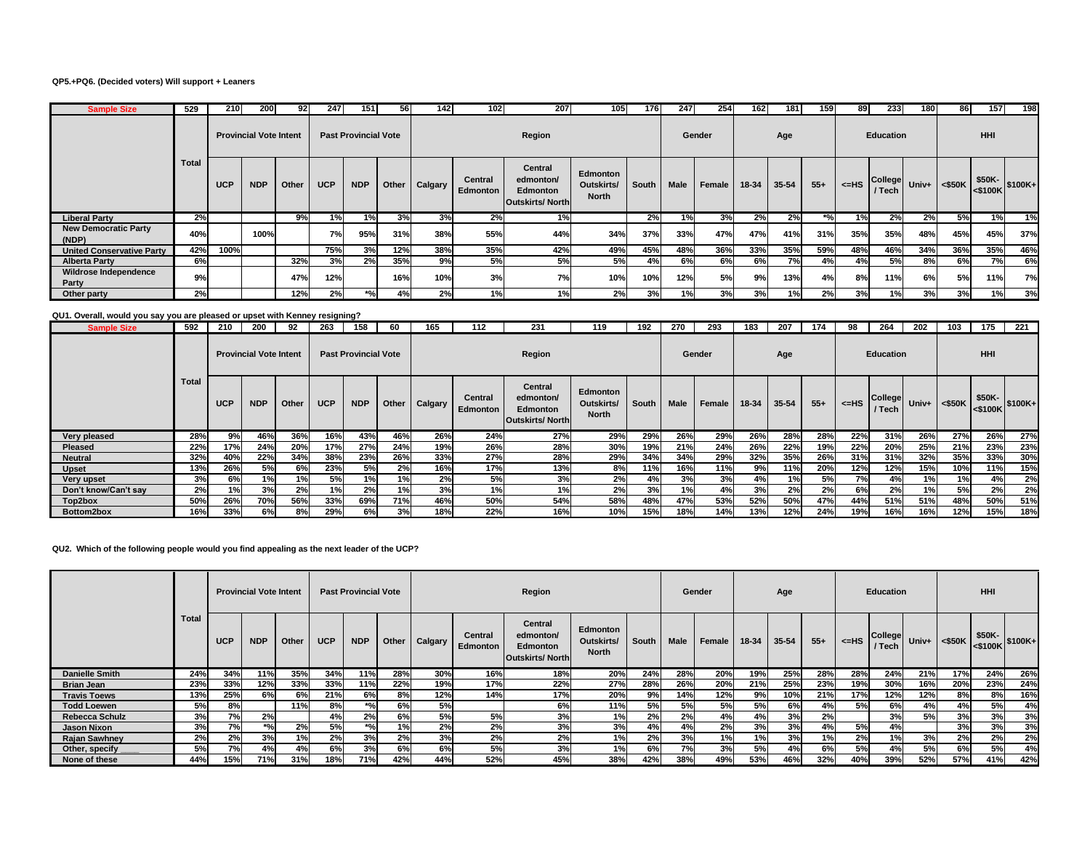#### **QP5.+PQ6. (Decided voters) Will support + Leaners**

| <b>Sample Size</b>                   | 529          | 210        | 200                           | 921   | 247        | 151 <sup>1</sup>            | 56    | 142     | 102                 | 207                                                               | 105                                    | 176   | 247   | 254    | 162   | 181 I     | 159   | 89     | 233                              | 180 | 86  | 157                                                                                      | 198 |
|--------------------------------------|--------------|------------|-------------------------------|-------|------------|-----------------------------|-------|---------|---------------------|-------------------------------------------------------------------|----------------------------------------|-------|-------|--------|-------|-----------|-------|--------|----------------------------------|-----|-----|------------------------------------------------------------------------------------------|-----|
|                                      |              |            | <b>Provincial Vote Intent</b> |       |            | <b>Past Provincial Vote</b> |       |         |                     | Region                                                            |                                        |       |       | Gender |       | Age       |       |        | Education                        |     |     | HHI                                                                                      |     |
|                                      | <b>Total</b> | <b>UCP</b> | <b>NDP</b>                    | Other | <b>UCP</b> | <b>NDP</b>                  | Other | Calgary | Central<br>Edmonton | Central<br>edmonton/<br><b>Edmonton</b><br><b>Outskirts/North</b> | Edmonton<br>Outskirts/<br><b>North</b> | South | Male  | Female | 18-34 | $35 - 54$ | $55+$ | $=$ HS | S College Univ+ <\$50K<br>/ Tech |     |     | $\begin{array}{ c c }\n\hline\n\text{$50K-}\n\hline\n\text{$100K+}\n\hline\n\end{array}$ |     |
| <b>Liberal Party</b>                 | 2%           |            |                               | 9%    | 1%         | $1\%$                       | 3%    | 3%      | 2%                  | 1%                                                                |                                        | 2%    | $1\%$ | 3%     | 2%    | 2%        | $*$ % | 1%     | 2%                               | 2%  | 5%  | 1%                                                                                       | 1%  |
| <b>New Democratic Party</b><br>(NDP) | 40%          |            | 100%                          |       | 7%         | 95%                         | 31%   | 38%     | 55%                 | 44%                                                               | 34%                                    | 37%   | 33%   | 47%    | 47%   | 41%       | 31%   | 35%    | 35%                              | 48% | 45% | 45%                                                                                      | 37% |
| <b>United Conservative Party</b>     | 42%          | 100%       |                               |       | 75%        | 3%                          | 12%   | 38%     | 35%                 | 42%                                                               | 49%                                    | 45%   | 48%   | 36%    | 33%   | 35%       | 59%   | 48%    | 46%                              | 34% | 36% | 35%                                                                                      | 46% |
| <b>Alberta Party</b>                 | 6%           |            |                               | 32%   | 3%         | 2%                          | 35%   | 9%      | <b>5%</b>           | 5%                                                                | 5%                                     | 4%    | 6%    | 6%     | 6%    | 7%        | 4%    | 4%     | 5%                               | 8%  | 6%  | 7%                                                                                       | 6%  |
| Wildrose Independence<br>Party       | 9%           |            |                               | 47%   | 12%        |                             | 16%   | 10%     | 3%                  | 7%                                                                | 10%                                    | 10%   | 12%   | 5%     | 9%    | 13%       | 4%    | 8%     | 11%                              | 6%  | 5%  | 11%                                                                                      | 7%  |
| Other party                          | 2%           |            |                               | 12%   | 2%         | $*$ %                       | 4%    | 2%      | 1%                  | 1%                                                                | 2%                                     | 3%    | 1%    | 3%     | 3%    | 1%        | 2%    | 3%     | 1%                               | 3%  | 3%  | 1%                                                                                       | 3%  |

### **QU1. Overall, would you say you are pleased or upset with Kenney resigning?**

| <b>Sample Size</b>   | 592          | 210        | 200                           | 92    | 263        | 158                         | 60    | 165     | 112                 | 231                                                               | 119                                    | 192   | 270         | 293    | 183   | 207       | 174   | 98   | 264               | 202 | 103                | 175                                                             | 221 |
|----------------------|--------------|------------|-------------------------------|-------|------------|-----------------------------|-------|---------|---------------------|-------------------------------------------------------------------|----------------------------------------|-------|-------------|--------|-------|-----------|-------|------|-------------------|-----|--------------------|-----------------------------------------------------------------|-----|
|                      |              |            | <b>Provincial Vote Intent</b> |       |            | <b>Past Provincial Vote</b> |       |         |                     | Region                                                            |                                        |       |             | Gender |       | Age       |       |      | <b>Education</b>  |     |                    | HHI                                                             |     |
|                      | <b>Total</b> | <b>UCP</b> | <b>NDP</b>                    | Other | <b>UCP</b> | <b>NDP</b>                  | Other | Calgary | Central<br>Edmonton | Central<br>edmonton/<br><b>Edmonton</b><br><b>Outskirts/North</b> | Edmonton<br>Outskirts/<br><b>North</b> | South | <b>Male</b> | Female | 18-34 | $35 - 54$ | $55+$ | <=HS | College<br>/ Tech |     | Univ+ $\leq$ \$50K | $\begin{array}{ c c }\n & $50K - $100K + $100K + \n\end{array}$ |     |
| Very pleased         | 28%          | 9%         | 46%                           | 36%   | 16%        | 43%                         | 46%   | 26%     | 24%                 | 27%                                                               | 29%                                    | 29%   | 26%         | 29%    | 26%   | 28%       | 28%   | 22%  | 31%               | 26% | 27%                | 26%                                                             | 27% |
| Pleased              | 22%          | 17%        | 24%                           | 20%   | 17%        | 27%                         | 24%   | 19%     | 26%                 | 28%                                                               | 30%                                    | 19%   | 21%         | 24%    | 26%   | 22%       | 19%   | 22%  | 20%               | 25% | 21%                | 23%                                                             | 23% |
| <b>Neutral</b>       | 32%          | 40%        | 22%                           | 34%   | 38%        | 23%                         | 26%   | 33%     | 27%                 | 28%                                                               | 29%                                    | 34%   | 34%         | 29%    | 32%   | 35%       | 26%   | 31%  | 31%               | 32% | 35%                | 33%                                                             | 30% |
| <b>Upset</b>         | 13%          | 26%        | 5%                            | 6%    | 23%        | 5%                          | 2%    | 16%     | 17%                 | 13%                                                               | 8%                                     | 11%   | 16%         | 11%    | 9%    | 11%       | 20%   | 12%  | 12%               | 15% | 10%                | 11%                                                             | 15% |
| Very upset           | 3%           | 6%         | 1%                            | 1%    | 5%         | 1%                          | 1%    | 2%      | 5%                  | 3%                                                                | 2%                                     | 4%    | 3%          | 3%     | 4%    | 1%        | 5%    | 7%   | 4%                | 1%  | 1%                 | 4%                                                              | 2%  |
| Don't know/Can't sav | 2%           | 1%         | 3%                            | 2%    | 1%         | 2%                          | 1%    | 3%      | 1%                  | 1%                                                                | 2%                                     | 3%    | 1%          | 4%     | 3%    | 2%        | 2%    | 6%   | 2%                | 1%  | 5%                 | 2%                                                              | 2%  |
| Top2box              | 50%          | 26%        | 70%                           | 56%   | 33%        | 69%                         | 71%   | 46%     | 50%                 | 54%                                                               | 58%                                    | 48%   | 47%         | 53%    | 52%   | 50%       | 47%   | 44%  | 51%               | 51% | 48%                | 50%                                                             | 51% |
| Bottom2box           | 16%          | 33%        | 6%                            | 8%    | 29%        | 6%                          | 3%    | 18%     | 22%                 | 16%                                                               | 10%                                    | 15%   | 18%         | 14%    | 13%   | 12%       | 24%   | 19%  | 16%               | 16% | 12%                | 15%                                                             | 18% |

#### **QU2. Which of the following people would you find appealing as the next leader of the UCP?**

|                       | <b>Total</b> | <b>Provincial Vote Intent</b> |            |       | <b>Past Provincial Vote</b> |            |       | Region  |                     |                                                                   |                                        | Gender |      | Age    |           |       | <b>Education</b> |           |        | <b>HHI</b>           |     |                                           |     |
|-----------------------|--------------|-------------------------------|------------|-------|-----------------------------|------------|-------|---------|---------------------|-------------------------------------------------------------------|----------------------------------------|--------|------|--------|-----------|-------|------------------|-----------|--------|----------------------|-----|-------------------------------------------|-----|
|                       |              | <b>UCP</b>                    | <b>NDP</b> | Other | <b>UCP</b>                  | <b>NDP</b> | Other | Calgary | Central<br>Edmonton | Central<br>edmonton/<br><b>Edmonton</b><br><b>Outskirts/North</b> | Edmonton<br>Outskirts/<br><b>North</b> | South  | Male | Female | $18 - 34$ | 35-54 | $55+$            | $\leq$ HS | / Tech | College Univ+ <\$50K |     | $$50K-$<br>$\frac{1}{2}$ <\$100K \\$100K+ |     |
| <b>Danielle Smith</b> | 24%          | 34%                           | 11%        | 35%   | 34%                         | 11%        | 28%   | 30%     | 16%                 | 18%                                                               | 20%                                    | 24%    | 28%  | 20%    | 19%       | 25%   | 28%              | 28%       | 24%    | 21%                  | 17% | 24%                                       | 26% |
| <b>Brian Jean</b>     | 23%          | 33%                           | 12%        | 33%   | 33%                         | 11%        | 22%   | 19%     | 17%                 | 22%                                                               | 27%                                    | 28%    | 26%  | 20%    | 21%       | 25%   | 23%              | 19%       | 30%    | 16%                  | 20% | 23%                                       | 24% |
| <b>Travis Toews</b>   | 13%          | 25%                           | 6%         | 6%    | 21%                         | 6%         | 8%    | 12%     | 14%                 | 17%                                                               | 20%                                    | 9%     | 14%  | 12%    | 9%        | 10%   | 21%              | 17%       | 12%    | 12%                  | 8%  | 8%                                        | 16% |
| <b>Todd Loewen</b>    | 5%           | 8%                            |            | 11%   | 8%                          | $*$ %      | 6%    | 5%      |                     | 6%                                                                | 11%                                    | 5%     | 5%   | 5%     | 5%        | 6%    | 4%               | 5%        | 6%     | 4%                   | 4%  | 5%                                        | 4%  |
| Rebecca Schulz        | 3%           | 7%                            | 2%         |       | 4%                          | 2%         | 6%    | 5%      | 5%                  | 3%                                                                | 1%                                     | 2%     | 2%   | 4%     | 4%        | 3%    | 2%               |           | 3%     | 5%                   | 3%  | 3%                                        | 3%  |
| <b>Jason Nixon</b>    | 3%           | 7%                            | $*$ %      | 2%    | 5%                          | $*$ %      | 1%    | 2%      | 2%                  | 3%                                                                | 3%                                     | 4%     | 4%   | 2%     | 3%        | 3%    | 4%               | 5%        | 4%     |                      | 3%  | 3%                                        | 3%  |
| <b>Rajan Sawhney</b>  | 2%           | 2%                            | 3%         | 1%    | 2%                          | 3%         | 2%    | 3%      | 2%                  | 2%                                                                | 1%                                     | 2%     | 3%   | 1%     | 1%        | 3%    | 1%               | 2%        | 1%     | 3%                   | 2%  | 2%                                        | 2%  |
| Other, specify        | 5%           | 7%                            | 4%         | 4%    | 6%                          | 3%         | 6%    | 6%      | 5%                  | 3%                                                                | 1%                                     | 6%     | 7%   | 3%     | <b>5%</b> | 4%    | 6%               | 5%        | 4%     | 5%                   | 6%  | 5%                                        | 4%  |
| None of these         | 44%          | 15%                           | 71%        | 31%   | 18%                         | 71%        | 42%   | 44%     | 52%                 | 45%                                                               | 38%                                    | 42%    | 38%  | 49%    | 53%       | 46%   | 32%              | 40%       | 39%    | 52%                  | 57% | 41%                                       | 42% |